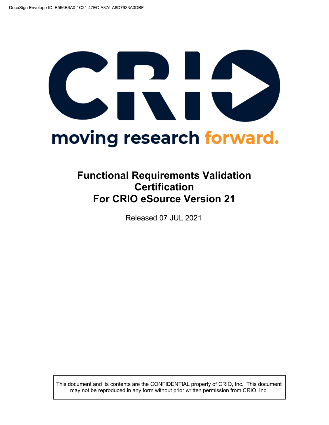# CRIS moving research forward.

# **Functional Requirements Validation Certification For CRIO eSource Version 21**

Released 07 JUL 2021

This document and its contents are the CONFIDENTIAL property of CRIO, Inc. This document may not be reproduced in any form without prior written permission from CRIO, Inc.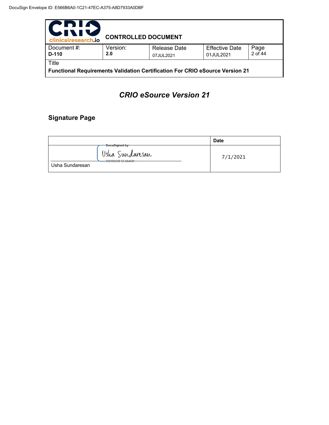| <u>"DIA</u><br>IVI!<br>clinicalresearch.io                                                   | <b>CONTROLLED DOCUMENT</b> |                                  |                                    |                 |
|----------------------------------------------------------------------------------------------|----------------------------|----------------------------------|------------------------------------|-----------------|
| Document #:<br>$D-110$                                                                       | Version:<br>2.0            | <b>Release Date</b><br>07JUL2021 | <b>Effective Date</b><br>01JUL2021 | Page<br>2 of 44 |
| Title<br><b>Functional Requirements Validation Certification For CRIO eSource Version 21</b> |                            |                                  |                                    |                 |

# *CRIO eSource Version 21*

# **Signature Page**

|                                                                    | <b>Date</b> |
|--------------------------------------------------------------------|-------------|
| -DocuSigned by:<br>Usha Sundaresan<br>- <del>20D6BB0F5E0A4D2</del> | 7/1/2021    |
| Usha Sundaresan                                                    |             |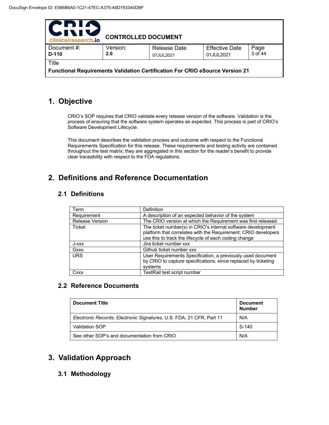| PDIA<br>511<br>clinicalresearch.io                                                  | <b>CONTROLLED DOCUMENT</b> |                           |                                    |                 |  |
|-------------------------------------------------------------------------------------|----------------------------|---------------------------|------------------------------------|-----------------|--|
| Document #:<br>D-110                                                                | Version:<br>2.0            | Release Date<br>07JUL2021 | <b>Effective Date</b><br>01JUL2021 | Page<br>3 of 44 |  |
| Title                                                                               |                            |                           |                                    |                 |  |
| <b>Functional Requirements Validation Certification For CRIO eSource Version 21</b> |                            |                           |                                    |                 |  |

# **1. Objective**

CRIO's SOP requires that CRIO validate every release version of the software. Validation is the process of ensuring that the software system operates as expected. This process is part of CRIO's Software Development Lifecycle.

This document describes the validation process and outcome with respect to the Functional Requirements Specification for this release. These requirements and testing activity are contained throughout the test matrix; they are aggregated in this section for the reader's benefit to provide clear traceability with respect to the FDA regulations.

# **2. Definitions and Reference Documentation**

### **2.1 Definitions**

| Term                   | Definition                                                                                                                                                                              |
|------------------------|-----------------------------------------------------------------------------------------------------------------------------------------------------------------------------------------|
| Requirement            | A description of an expected behavior of the system                                                                                                                                     |
| <b>Release Version</b> | The CRIO version at which the Requirement was first released                                                                                                                            |
| Ticket                 | The ticket number(s) in CRIO's internal software development<br>platform that correlates with the Requirement; CRIO developers<br>use this to track the lifecycle of each coding change |
| J-xxx                  | Jira ticket number xxx                                                                                                                                                                  |
| Gxxx                   | Github ticket number xxx                                                                                                                                                                |
| <b>URS</b>             | User Requirements Specification; a previously used document<br>by CRIO to capture specifications; since replaced by ticketing<br>systems                                                |
| Cxxx                   | TestRail test script number                                                                                                                                                             |

### **2.2 Reference Documents**

| <b>Document Title</b>                                                | <b>Document</b><br><b>Number</b> |
|----------------------------------------------------------------------|----------------------------------|
| Electronic Records; Electronic Signatures, U.S. FDA, 21 CFR, Part 11 | N/A                              |
| Validation SOP                                                       | $S-140$                          |
| See other SOP's and documentation from CRIO                          | N/A                              |

# **3. Validation Approach**

### **3.1 Methodology**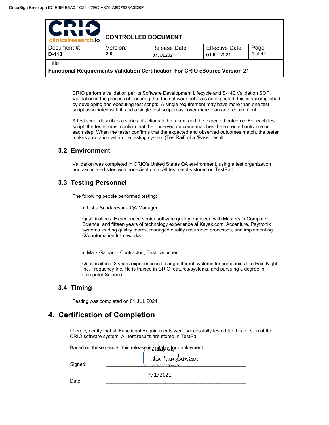| PDIN<br><b>UNIV</b><br>clinicalresearch.io                                   | <b>CONTROLLED DOCUMENT</b> |                                  |                                    |                 |  |
|------------------------------------------------------------------------------|----------------------------|----------------------------------|------------------------------------|-----------------|--|
| Document #:<br>D-110                                                         | Version:<br>2.0            | <b>Release Date</b><br>07JUL2021 | <b>Effective Date</b><br>01JUL2021 | Page<br>4 of 44 |  |
| Title                                                                        |                            |                                  |                                    |                 |  |
| Functional Requirements Validation Certification For CRIO eSource Version 21 |                            |                                  |                                    |                 |  |

CRIO performs validation per its Software Development Lifecycle and S-140 Validation SOP. Validation is the process of ensuring that the software behaves as expected; this is accomplished by developing and executing test scripts. A single requirement may have more than one test script associated with it, and a single test script may cover more than one requirement.

A test script describes a series of actions to be taken, and the expected outcome. For each test script, the tester must confirm that the observed outcome matches the expected outcome on each step. When the tester confirms that the expected and observed outcomes match, the tester makes a notation within the testing system (TestRail) of a "Pass" result.

### **3.2 Environment**

Validation was completed in CRIO's United States QA environment, using a test organization and associated sites with non-client data. All test results stored on TestRail.

### **3.3 Testing Personnel**

The following people performed testing:

• Usha Sundaresan - QA Manager

Qualifications: Experienced senior software quality engineer, with Masters in Computer Science, and fifteen years of technology experience at Kayak.com, Accenture, Paytronix systems leading quality teams, managed quality assurance processes, and implementing QA automation frameworks.

• Mark Gainan – Contractor , Test Launcher

Qualificaitons: 3 years experience in testing different systems for companies like PaintNight Inc, Frequency Inc. He is trained in CRIO features/systems, and pursuing a degree in Computer Science.

### **3.4 Timing**

Testing was completed on 01 JUL 2021.

## **4. Certification of Completion**

I hereby certify that all Functional Requirements were successfully tested for this version of the CRIO software system. All test results are stored in TestRail.

Based on these results, this release is suitable for deployment.

| Signed: | Usha Sundansan |
|---------|----------------|
| Date:   | 7/1/2021       |
|         |                |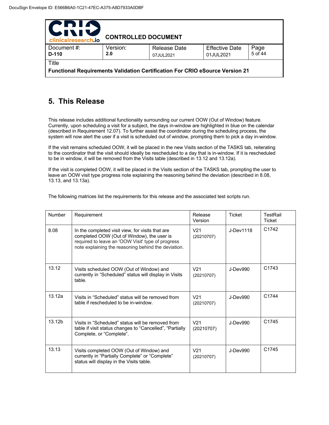| PDIA                                                                                         |                            |                           |                                    |                 |
|----------------------------------------------------------------------------------------------|----------------------------|---------------------------|------------------------------------|-----------------|
| 511<br>IV.<br>clinicalresearch.io                                                            | <b>CONTROLLED DOCUMENT</b> |                           |                                    |                 |
| Document #:<br>D-110                                                                         | Version:<br>2.0            | Release Date<br>07JUL2021 | <b>Effective Date</b><br>01JUL2021 | Page<br>5 of 44 |
| Title<br><b>Functional Requirements Validation Certification For CRIO eSource Version 21</b> |                            |                           |                                    |                 |

# **5. This Release**

This release includes additional functionality surrounding our current OOW (Out of Window) feature. Currently, upon scheduling a visit for a subject, the days in-window are highlighted in blue on the calendar (described in Requirement 12.07). To further assist the coordinator during the scheduling process, the system will now alert the user if a visit is scheduled out of window, prompting them to pick a day in-window.

If the visit remains scheduled OOW, it will be placed in the new Visits section of the TASKS tab, reiterating to the coordinator that the visit should ideally be rescheduled to a day that is in-window. If it is rescheduled to be in window, it will be removed from the Visits table (described in 13.12 and 13.12a).

If the visit is completed OOW, it will be placed in the Visits section of the TASKS tab, prompting the user to leave an OOW visit type progress note explaining the reasoning behind the deviation (described in 8.08, 13.13, and 13.13a).

The following matrices list the requirements for this release and the associated test scripts run.

| Number | Requirement                                                                                                                                                                                                | Release<br>Version            | <b>Ticket</b>  | TestRail<br>Ticket |
|--------|------------------------------------------------------------------------------------------------------------------------------------------------------------------------------------------------------------|-------------------------------|----------------|--------------------|
| 8.08   | In the completed visit view, for visits that are<br>completed OOW (Out of Window), the user is<br>required to leave an 'OOW Visit' type of progress<br>note explaining the reasoning behind the deviation. | V <sub>21</sub><br>(20210707) | J-Dev1118      | C1742              |
| 13.12  | Visits scheduled OOW (Out of Window) and<br>currently in "Scheduled" status will display in Visits<br>table.                                                                                               | V <sub>21</sub><br>(20210707) | $J$ -Dev $990$ | C <sub>1743</sub>  |
| 13.12a | Visits in "Scheduled" status will be removed from<br>table if rescheduled to be in-window.                                                                                                                 | V <sub>21</sub><br>(20210707) | $J$ -Dev $990$ | C <sub>1744</sub>  |
| 13.12b | Visits in "Scheduled" status will be removed from<br>table if visit status changes to "Cancelled", "Partially<br>Complete, or "Complete".                                                                  | V <sub>21</sub><br>(20210707) | J-Dev990       | C <sub>1745</sub>  |
| 13.13  | Visits completed OOW (Out of Window) and<br>currently in "Partially Complete" or "Complete"<br>status will display in the Visits table.                                                                    | V <sub>21</sub><br>(20210707) | $J$ -Dev $990$ | C <sub>1745</sub>  |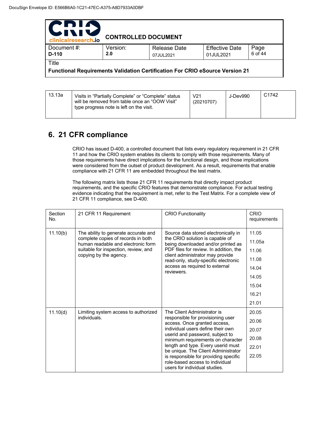| PDIA<br><b>WII</b><br>IV<br>clinicalresearch.io | <b>CONTROLLED DOCUMENT</b> |                                                                                     |                                    |                 |
|-------------------------------------------------|----------------------------|-------------------------------------------------------------------------------------|------------------------------------|-----------------|
| Document#:<br>$D-110$                           | Version:<br>2.0            | <b>Release Date</b><br>07JUL2021                                                    | <b>Effective Date</b><br>01JUL2021 | Page<br>6 of 44 |
| Title                                           |                            | <b>Functional Requirements Validation Certification For CRIO eSource Version 21</b> |                                    |                 |

| 13.13a | Visits in "Partially Complete" or "Complete" status<br>will be removed from table once an "OOW Visit"<br>type progress note is left on the visit. | V21<br>(20210707) | J-Dev990 | C <sub>1742</sub> |
|--------|---------------------------------------------------------------------------------------------------------------------------------------------------|-------------------|----------|-------------------|
|--------|---------------------------------------------------------------------------------------------------------------------------------------------------|-------------------|----------|-------------------|

# **6. 21 CFR compliance**

CRIO has issued D-400, a controlled document that lists every regulatory requirement in 21 CFR 11 and how the CRIO system enables its clients to comply with those requirements. Many of those requirements have direct implications for the functional design, and those implications were considered from the outset of product development. As a result, requirements that enable compliance with 21 CFR 11 are embedded throughout the test matrix.

The following matrix lists those 21 CFR 11 requirements that directly impact product requirements, and the specific CRIO features that demonstrate compliance. For actual testing evidence indicating that the requirement is met, refer to the Test Matrix. For a complete view of 21 CFR 11 compliance, see D-400.

| Section<br>No. | 21 CFR 11 Requirement                                                                                            | <b>CRIO Functionality</b>                                                                                                                                                                                                                                                                                                                                                | CRIO<br>requirements |
|----------------|------------------------------------------------------------------------------------------------------------------|--------------------------------------------------------------------------------------------------------------------------------------------------------------------------------------------------------------------------------------------------------------------------------------------------------------------------------------------------------------------------|----------------------|
| 11.10(b)       | The ability to generate accurate and<br>complete copies of records in both<br>human readable and electronic form | Source data stored electronically in                                                                                                                                                                                                                                                                                                                                     | 11.05                |
|                |                                                                                                                  | the CRIO solution is capable of<br>being downloaded and/or printed as                                                                                                                                                                                                                                                                                                    | 11.05a               |
|                | suitable for inspection, review, and                                                                             | PDF files for review. In addition, the                                                                                                                                                                                                                                                                                                                                   | 11.06                |
|                | copying by the agency.                                                                                           | client administrator may provide<br>read-only, study-specific electronic<br>access as required to external<br>reviewers.                                                                                                                                                                                                                                                 | 11.08                |
|                |                                                                                                                  |                                                                                                                                                                                                                                                                                                                                                                          | 14.04                |
|                |                                                                                                                  |                                                                                                                                                                                                                                                                                                                                                                          | 14.05                |
|                |                                                                                                                  |                                                                                                                                                                                                                                                                                                                                                                          | 15.04                |
|                |                                                                                                                  |                                                                                                                                                                                                                                                                                                                                                                          | 16.21                |
|                |                                                                                                                  |                                                                                                                                                                                                                                                                                                                                                                          | 21.01                |
| 11.10(d)       | Limiting system access to authorized                                                                             | The Client Administrator is                                                                                                                                                                                                                                                                                                                                              | 20.05                |
|                | individuals.                                                                                                     | responsible for provisioning user<br>access. Once granted access,<br>individual users define their own<br>userid and password, subject to<br>minimum requirements on character<br>length and type. Every userid must<br>be unique. The Client Administrator<br>is responsible for providing specific<br>role-based access to individual<br>users for individual studies. | 20.06                |
|                |                                                                                                                  |                                                                                                                                                                                                                                                                                                                                                                          | 20.07                |
|                |                                                                                                                  |                                                                                                                                                                                                                                                                                                                                                                          | 20.08                |
|                |                                                                                                                  |                                                                                                                                                                                                                                                                                                                                                                          | 22.01                |
|                |                                                                                                                  |                                                                                                                                                                                                                                                                                                                                                                          | 22.05                |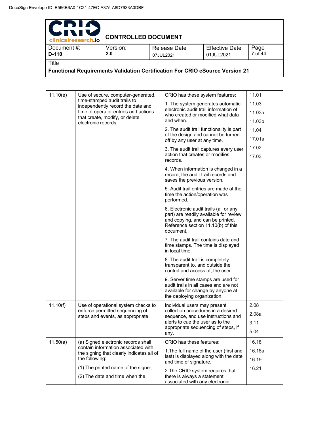| PDIA<br>UNIV<br>clinicalresearch.io                                                          | <b>CONTROLLED DOCUMENT</b> |                           |                                    |                 |
|----------------------------------------------------------------------------------------------|----------------------------|---------------------------|------------------------------------|-----------------|
| Document #:<br>$D-110$                                                                       | Version:<br>2.0            | Release Date<br>07JUL2021 | <b>Effective Date</b><br>01JUL2021 | Page<br>7 of 44 |
| Title<br><b>Functional Requirements Validation Certification For CRIO eSource Version 21</b> |                            |                           |                                    |                 |

| 11.10(e) | Use of secure, computer-generated,                                               | CRIO has these system features:                                                                                                                                         | 11.01  |
|----------|----------------------------------------------------------------------------------|-------------------------------------------------------------------------------------------------------------------------------------------------------------------------|--------|
|          | time-stamped audit trails to<br>independently record the date and                | 1. The system generates automatic,                                                                                                                                      | 11.03  |
|          | time of operator entries and actions                                             | electronic audit trail information of<br>who created or modified what data                                                                                              | 11.03a |
|          | that create, modify, or delete<br>electronic records.                            | and when.                                                                                                                                                               | 11.03b |
|          |                                                                                  | 2. The audit trail functionality is part                                                                                                                                | 11.04  |
|          |                                                                                  | of the design and cannot be turned<br>off by any user at any time.                                                                                                      | 17.01a |
|          |                                                                                  | 3. The audit trail captures every user                                                                                                                                  | 17.02  |
|          |                                                                                  | action that creates or modifies<br>records.                                                                                                                             | 17.03  |
|          |                                                                                  | 4. When information is changed in a<br>record, the audit trail records and<br>saves the previous version.                                                               |        |
|          |                                                                                  | 5. Audit trail entries are made at the<br>time the action/operation was<br>performed.                                                                                   |        |
|          |                                                                                  | 6. Electronic audit trails (all or any<br>part) are readily available for review<br>and copying, and can be printed.<br>Reference section 11.10(b) of this<br>document. |        |
|          |                                                                                  | 7. The audit trail contains date and<br>time stamps. The time is displayed<br>in local time.                                                                            |        |
|          |                                                                                  | 8. The audit trail is completely<br>transparent to, and outside the<br>control and access of, the user.                                                                 |        |
|          |                                                                                  | 9. Server time stamps are used for<br>audit trails in all cases and are not<br>available for change by anyone at<br>the deploying organization.                         |        |
| 11.10(f) | Use of operational system checks to                                              | Individual users may present                                                                                                                                            | 2.08   |
|          | enforce permitted sequencing of<br>steps and events, as appropriate.             | collection procedures in a desired<br>sequence, and use instructions and                                                                                                | 2.08a  |
|          |                                                                                  | alerts to cue the user as to the                                                                                                                                        | 3.11   |
|          |                                                                                  | appropriate sequencing of steps, if<br>any.                                                                                                                             | 5.04   |
| 11.50(a) | (a) Signed electronic records shall                                              | CRIO has these features:                                                                                                                                                | 16.18  |
|          | contain information associated with<br>the signing that clearly indicates all of | 1. The full name of the user (first and                                                                                                                                 | 16.18a |
|          | the following:                                                                   | last) is displayed along with the date<br>and time of signature.                                                                                                        | 16.19  |
|          | (1) The printed name of the signer;                                              | 2. The CRIO system requires that                                                                                                                                        | 16.21  |
|          | (2) The date and time when the                                                   | there is always a statement<br>associated with any electronic                                                                                                           |        |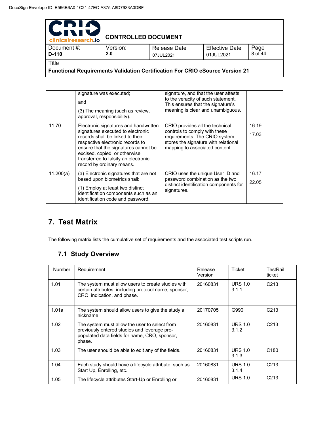| PDIA<br>IVI                                                                  |                            |                     |                       |         |  |
|------------------------------------------------------------------------------|----------------------------|---------------------|-----------------------|---------|--|
| clinicalresearch.io                                                          | <b>CONTROLLED DOCUMENT</b> |                     |                       |         |  |
| Document #:                                                                  | Version:                   | <b>Release Date</b> | <b>Effective Date</b> | Page    |  |
| $D-110$                                                                      | 2.0                        | 07JUL2021           | 01JUL2021             | 8 of 44 |  |
| Title                                                                        |                            |                     |                       |         |  |
| Functional Requirements Validation Certification For CRIO eSource Version 21 |                            |                     |                       |         |  |

signature was executed; and (3) The meaning (such as review, approval, responsibility). signature, and that the user attests to the veracity of such statement. This ensures that the signature's meaning is clear and unambiguous. 11.70 | Electronic signatures and handwritten signatures executed to electronic records shall be linked to their respective electronic records to ensure that the signatures cannot be excised, copied, or otherwise transferred to falsify an electronic record by ordinary means. CRIO provides all the technical controls to comply with these requirements. The CRIO system stores the signature with relational mapping to associated content. 16.19 17.03 11.200(a)  $\bigcup$  (a) Electronic signatures that are not based upon biometrics shall: (1) Employ at least two distinct identification components such as an identification code and password. CRIO uses the unique User ID and password combination as the two distinct identification components for signatures. 16.17 22.05

# **7. Test Matrix**

The following matrix lists the cumulative set of requirements and the associated test scripts run.

### **7.1 Study Overview**

| Number | Requirement                                                                                                                                              | Release<br>Version | Ticket                  | TestRail<br>ticket |
|--------|----------------------------------------------------------------------------------------------------------------------------------------------------------|--------------------|-------------------------|--------------------|
| 1.01   | The system must allow users to create studies with<br>certain attributes, including protocol name, sponsor,<br>CRO, indication, and phase.               | 20160831           | <b>URS 1.0</b><br>3.1.1 | C <sub>213</sub>   |
| 1.01a  | The system should allow users to give the study a<br>nickname.                                                                                           | 20170705           | G990                    | C <sub>213</sub>   |
| 1.02   | The system must allow the user to select from<br>previously entered studies and leverage pre-<br>populated data fields for name, CRO, sponsor,<br>phase. | 20160831           | <b>URS 1.0</b><br>3.1.2 | C <sub>213</sub>   |
| 1.03   | The user should be able to edit any of the fields.                                                                                                       | 20160831           | <b>URS 1.0</b><br>3.1.3 | C <sub>180</sub>   |
| 1.04   | Each study should have a lifecycle attribute, such as<br>Start Up, Enrolling, etc.                                                                       | 20160831           | <b>URS 1.0</b><br>3.1.4 | C <sub>213</sub>   |
| 1.05   | The lifecycle attributes Start-Up or Enrolling or                                                                                                        | 20160831           | <b>URS 1.0</b>          | C <sub>213</sub>   |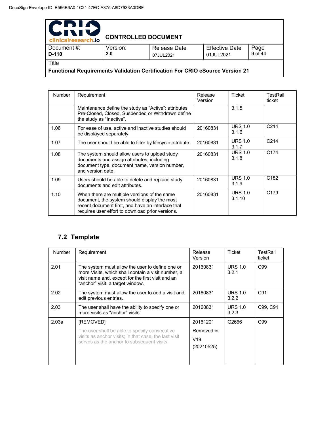| PDIN<br>clinicalresearch.io                                                         | <b>CONTROLLED DOCUMENT</b> |                                  |                                    |                 |
|-------------------------------------------------------------------------------------|----------------------------|----------------------------------|------------------------------------|-----------------|
| Document #:<br>D-110                                                                | Version:<br>2.0            | <b>Release Date</b><br>07JUL2021 | <b>Effective Date</b><br>01JUL2021 | Page<br>9 of 44 |
| Title                                                                               |                            |                                  |                                    |                 |
| <b>Functional Requirements Validation Certification For CRIO eSource Version 21</b> |                            |                                  |                                    |                 |

Number Requirement Release Version Ticket TestRail ticket Maintenance define the study as "Active": attributes Pre-Closed, Closed, Suspended or Withdrawn define the study as "Inactive".  $3.1.5$ 1.06 For ease of use, active and inactive studies should be displayed separately. 20160831 URS 1.0 3.1.6 C214 1.07 The user should be able to filter by lifecycle attribute. 20160831 URS 1.0  $\frac{3.1.7}{URS}$  1.0 C214 1.08 The system should allow users to upload study documents and assign attributes, including document type, document name, version number, and version date. 20160831 3.1.8 C174 1.09 Users should be able to delete and replace study documents and edit attributes. 20160831 URS 1.0 3.1.9 C182 1.10 When there are multiple versions of the same document, the system should display the most recent document first, and have an interface that requires user effort to download prior versions. 20160831 URS 1.0 3.1.10 C179

### **7.2 Template**

| <b>Number</b> | Requirement                                                                                                                                                                                    | Release<br>Version | Ticket                  | TestRail<br>ticket |
|---------------|------------------------------------------------------------------------------------------------------------------------------------------------------------------------------------------------|--------------------|-------------------------|--------------------|
| 2.01          | The system must allow the user to define one or<br>more Visits, which shall contain a visit number, a<br>visit name and, except for the first visit and an<br>"anchor" visit, a target window. | 20160831           | <b>URS 1.0</b><br>3.2.1 | C <sub>99</sub>    |
| 2.02          | The system must allow the user to add a visit and<br>edit previous entries.                                                                                                                    | 20160831           | <b>URS 1.0</b><br>3.2.2 | C <sub>91</sub>    |
| 2.03          | The user shall have the ability to specify one or<br>more visits as "anchor" visits.                                                                                                           | 20160831           | <b>URS 1.0</b><br>3.2.3 | C99, C91           |
| 2.03a         | [REMOVED]                                                                                                                                                                                      | 20161201           | G2666                   | C <sub>99</sub>    |
|               | The user shall be able to specify consecutive                                                                                                                                                  | Removed in         |                         |                    |
|               | visits as anchor visits; in that case, the last visit<br>serves as the anchor to subsequent visits.                                                                                            | V19                |                         |                    |
|               |                                                                                                                                                                                                | (20210525)         |                         |                    |
|               |                                                                                                                                                                                                |                    |                         |                    |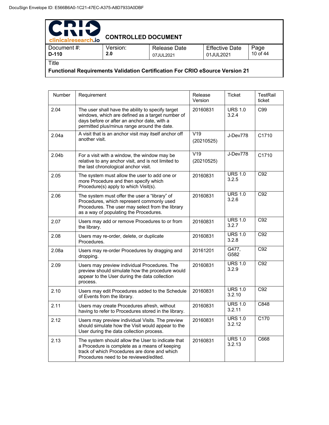| PDIA<br>IVI!<br>$\blacktriangleright$<br>clinicalresearch.io | <b>CONTROLLED DOCUMENT</b> |                                  |                                    |                  |
|--------------------------------------------------------------|----------------------------|----------------------------------|------------------------------------|------------------|
| Document#:<br>$D-110$                                        | Version:<br>2.0            | <b>Release Date</b><br>07JUL2021 | <b>Effective Date</b><br>01JUL2021 | Page<br>10 of 44 |
| Title<br>- -                                                 | .                          | - -                              | $\cdots$                           |                  |

**Functional Requirements Validation Certification For CRIO eSource Version 21** 

| Number | Requirement                                                                                                                                                                                         | Release<br>Version | Ticket                   | <b>TestRail</b><br>ticket |
|--------|-----------------------------------------------------------------------------------------------------------------------------------------------------------------------------------------------------|--------------------|--------------------------|---------------------------|
| 2.04   | The user shall have the ability to specify target<br>windows, which are defined as a target number of<br>days before or after an anchor date, with a<br>permitted plus/minus range around the date. | 20160831           | <b>URS 1.0</b><br>3.2.4  | C99                       |
| 2.04a  | A visit that is an anchor visit may itself anchor off<br>another visit.                                                                                                                             | V19<br>(20210525)  | J-Dev778                 | C1710                     |
| 2.04b  | For a visit with a window, the window may be<br>relative to any anchor visit, and is not limited to<br>the last chronological anchor visit.                                                         | V19<br>(20210525)  | J-Dev778                 | C1710                     |
| 2.05   | The system must allow the user to add one or<br>more Procedure and then specify which<br>Procedure(s) apply to which Visit(s).                                                                      | 20160831           | <b>URS 1.0</b><br>3.2.5  | C92                       |
| 2.06   | The system must offer the user a "library" of<br>Procedures, which represent commonly used<br>Procedures. The user may select from the library<br>as a way of populating the Procedures.            | 20160831           | <b>URS 1.0</b><br>3.2.6  | C92                       |
| 2.07   | Users may add or remove Procedures to or from<br>the library.                                                                                                                                       | 20160831           | <b>URS 1.0</b><br>3.2.7  | C <sub>92</sub>           |
| 2.08   | Users may re-order, delete, or duplicate<br>Procedures.                                                                                                                                             | 20160831           | <b>URS 1.0</b><br>3.2.8  | C <sub>92</sub>           |
| 2.08a  | Users may re-order Procedures by dragging and<br>dropping.                                                                                                                                          | 20161201           | G477,<br>G582            | C <sub>92</sub>           |
| 2.09   | Users may preview individual Procedures. The<br>preview should simulate how the procedure would<br>appear to the User during the data collection<br>process.                                        | 20160831           | <b>URS 1.0</b><br>3.2.9  | C92                       |
| 2.10   | Users may edit Procedures added to the Schedule<br>of Events from the library.                                                                                                                      | 20160831           | <b>URS 1.0</b><br>3.2.10 | C92                       |
| 2.11   | Users may create Procedures afresh, without<br>having to refer to Procedures stored in the library.                                                                                                 | 20160831           | <b>URS 1.0</b><br>3.2.11 | C848                      |
| 2.12   | Users may preview individual Visits. The preview<br>should simulate how the Visit would appear to the<br>User during the data collection process.                                                   | 20160831           | <b>URS 1.0</b><br>3.2.12 | C170                      |
| 2.13   | The system should allow the User to indicate that<br>a Procedure is complete as a means of keeping<br>track of which Procedures are done and which<br>Procedures need to be reviewed/edited.        | 20160831           | <b>URS 1.0</b><br>3.2.13 | C668                      |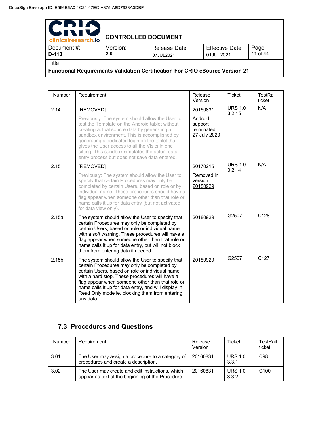| PDIA<br>WIN<br>clinicalresearch.io | <b>CONTROLLED DOCUMENT</b>                                                   |                                  |                                    |                  |  |  |
|------------------------------------|------------------------------------------------------------------------------|----------------------------------|------------------------------------|------------------|--|--|
| Document#:<br>D-110                | Version:<br>2.0                                                              | <b>Release Date</b><br>07JUL2021 | <b>Effective Date</b><br>01JUL2021 | Page<br>11 of 44 |  |  |
| Title                              |                                                                              |                                  |                                    |                  |  |  |
|                                    | Functional Requirements Validation Certification For CRIO eSource Version 21 |                                  |                                    |                  |  |  |

Number Requirement Release Version Ticket | TestRail ticket 2.14 **REMOVED** Previously: The system should allow the User to test the Template on the Android tablet without creating actual source data by generating a sandbox environment. This is accomplished by generating a dedicated login on the tablet that gives the User access to all the Visits in one sitting. This sandbox simulates the actual data entry process but does not save data entered. 20160831 Android support terminated 27 July 2020 URS 1.0 3.2.15 N/A 2.15 **[REMOVED]** Previously: The system should allow the User to specify that certain Procedures may only be completed by certain Users, based on role or by individual name. These procedures should have a flag appear when someone other than that role or name calls it up for data entry (but not activated for data view only). 20170215 Removed in version 20180929 URS 1.0 3.2.14 N/A 2.15a | The system should allow the User to specify that certain Procedures may only be completed by certain Users, based on role or individual name with a soft warning. These procedures will have a flag appear when someone other than that role or name calls it up for data entry, but will not block them from entering data if needed. 20180929 G2507 C128 2.15b The system should allow the User to specify that certain Procedures may only be completed by certain Users, based on role or individual name with a hard stop. These procedures will have a flag appear when someone other than that role or name calls it up for data entry, and will display in Read Only mode ie. blocking them from entering any data. 20180929 G2507 C127

### **7.3 Procedures and Questions**

| <b>Number</b> | Requirement                                                                                           | Release<br>Version | Ticket                  | TestRail<br>ticket |
|---------------|-------------------------------------------------------------------------------------------------------|--------------------|-------------------------|--------------------|
| 3.01          | The User may assign a procedure to a category of<br>procedures and create a description.              | 20160831           | <b>URS 1.0</b><br>3.3.1 | C <sub>98</sub>    |
| 3.02          | The User may create and edit instructions, which<br>appear as text at the beginning of the Procedure. | 20160831           | <b>URS 1.0</b><br>3.3.2 | C <sub>100</sub>   |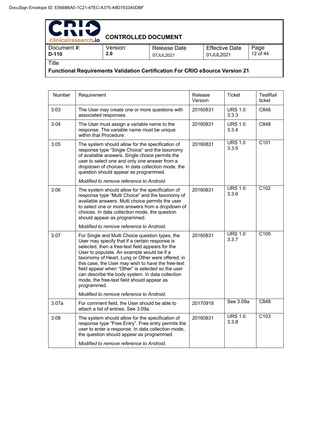| PDIA<br>WIN<br>clinicalresearch.io                                                  | <b>CONTROLLED DOCUMENT</b> |                                  |                                    |                  |  |
|-------------------------------------------------------------------------------------|----------------------------|----------------------------------|------------------------------------|------------------|--|
| Document #:<br>D-110                                                                | Version:<br>2.0            | <b>Release Date</b><br>07JUL2021 | <b>Effective Date</b><br>01JUL2021 | Page<br>12 of 44 |  |
| Title                                                                               |                            |                                  |                                    |                  |  |
| <b>Functional Requirements Validation Certification For CRIO eSource Version 21</b> |                            |                                  |                                    |                  |  |

| Number | Requirement                                                                                                                                                                                                                                                                                                                                                                                                                                                                                                                      | Release<br>Version | <b>Ticket</b>           | <b>TestRail</b><br>ticket |
|--------|----------------------------------------------------------------------------------------------------------------------------------------------------------------------------------------------------------------------------------------------------------------------------------------------------------------------------------------------------------------------------------------------------------------------------------------------------------------------------------------------------------------------------------|--------------------|-------------------------|---------------------------|
| 3.03   | The User may create one or more questions with<br>associated responses.                                                                                                                                                                                                                                                                                                                                                                                                                                                          | 20160831           | <b>URS 1.0</b><br>3.3.3 | C848                      |
| 3.04   | The User must assign a variable name to the<br>response. The variable name must be unique<br>within that Procedure.                                                                                                                                                                                                                                                                                                                                                                                                              | 20160831           | <b>URS 1.0</b><br>3.3.4 | C848                      |
| 3.05   | The system should allow for the specification of<br>response type "Single Choice" and the taxonomy<br>of available answers. Single choice permits the<br>user to select one and only one answer from a<br>dropdown of choices. In data collection mode, the<br>question should appear as programmed.<br>Modified to remove reference to Android.                                                                                                                                                                                 | 20160831           | <b>URS 1.0</b><br>3.3.5 | C101                      |
| 3.06   | The system should allow for the specification of<br>response type "Multi Choice" and the taxonomy of<br>available answers. Multi choice permits the user<br>to select one or more answers from a dropdown of<br>choices. In data collection mode, the question<br>should appear as programmed.<br>Modified to remove reference to Android.                                                                                                                                                                                       | 20160831           | <b>URS 1.0</b><br>3.3.6 | C102                      |
| 3.07   | For Single and Multi Choice question types, the<br>User may specify that if a certain response is<br>selected, then a free-text field appears for the<br>User to populate. An example would be if a<br>taxonomy of Heart, Lung or Other were offered; in<br>this case, the User may wish to have the free-text<br>field appear when "Other" is selected so the user<br>can describe the body system. In data collection<br>mode, the free-text field should appear as<br>programmed.<br>Modified to remove reference to Android. | 20160831           | <b>URS 1.0</b><br>3.3.7 | C105                      |
| 3.07a  | For comment field, the User should be able to<br>attach a list of entries. See 3.09a.                                                                                                                                                                                                                                                                                                                                                                                                                                            | 20170918           | See 3.09a               | C848                      |
| 3.08   | The system should allow for the specification of<br>response type "Free Entry". Free entry permits the<br>user to enter a response. In data collection mode,<br>the question should appear as programmed.                                                                                                                                                                                                                                                                                                                        | 20160831           | <b>URS 1.0</b><br>3.3.8 | C103                      |
|        | Modified to remove reference to Android.                                                                                                                                                                                                                                                                                                                                                                                                                                                                                         |                    |                         |                           |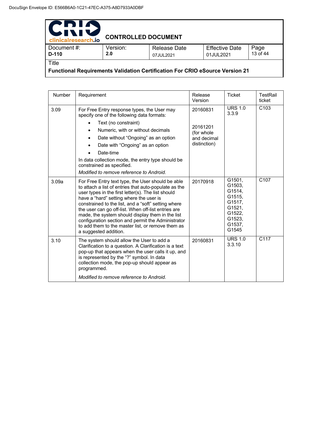| PDIA<br>WIN<br>clinicalresearch.io                                                  | <b>CONTROLLED DOCUMENT</b> |                                  |                                    |                  |  |
|-------------------------------------------------------------------------------------|----------------------------|----------------------------------|------------------------------------|------------------|--|
| Document #:<br>D-110                                                                | Version:<br>2.0            | <b>Release Date</b><br>07JUL2021 | <b>Effective Date</b><br>01JUL2021 | Page<br>13 of 44 |  |
| Title                                                                               |                            |                                  |                                    |                  |  |
| <b>Functional Requirements Validation Certification For CRIO eSource Version 21</b> |                            |                                  |                                    |                  |  |

| Number | Requirement                                                                                                                                                                                                                                                                                                                                                                                                                                                                                                       | Release<br>Version                                                 | <b>Ticket</b>                                                                                   | TestRail<br>ticket |
|--------|-------------------------------------------------------------------------------------------------------------------------------------------------------------------------------------------------------------------------------------------------------------------------------------------------------------------------------------------------------------------------------------------------------------------------------------------------------------------------------------------------------------------|--------------------------------------------------------------------|-------------------------------------------------------------------------------------------------|--------------------|
| 3.09   | For Free Entry response types, the User may<br>specify one of the following data formats:<br>Text (no constraint)<br>$\bullet$<br>Numeric, with or without decimals<br>$\bullet$<br>Date without "Ongoing" as an option<br>٠<br>Date with "Ongoing" as an option<br>Date-time<br>$\bullet$<br>In data collection mode, the entry type should be<br>constrained as specified.<br>Modified to remove reference to Android.                                                                                          | 20160831<br>20161201<br>(for whole)<br>and decimal<br>distinction) | <b>URS 1.0</b><br>3.3.9                                                                         | C <sub>103</sub>   |
| 3.09a  | For Free Entry text type, the User should be able<br>to attach a list of entries that auto-populate as the<br>user types in the first letter(s). The list should<br>have a "hard" setting where the user is<br>constrained to the list, and a "soft" setting where<br>the user can go off-list. When off-list entries are<br>made, the system should display them in the list<br>configuration section and permit the Administrator<br>to add them to the master list, or remove them as<br>a suggested addition. | 20170918                                                           | G1501.<br>G1503.<br>G1514,<br>G1515.<br>G1517,<br>G1521.<br>G1522,<br>G1523.<br>G1537.<br>G1545 | C <sub>107</sub>   |
| 3.10   | The system should allow the User to add a<br>Clarification to a question. A Clarification is a text<br>pop-up that appears when the user calls it up, and<br>is represented by the "?" symbol. In data<br>collection mode, the pop-up should appear as<br>programmed.<br>Modified to remove reference to Android.                                                                                                                                                                                                 | 20160831                                                           | <b>URS 1.0</b><br>3.3.10                                                                        | C <sub>117</sub>   |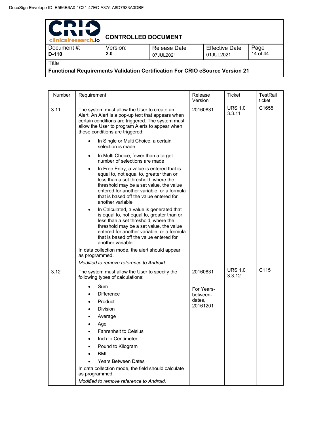| PDIA<br>IVI!<br>clinicalresearch.io                                                 | <b>CONTROLLED DOCUMENT</b> |                                  |                                    |                  |  |
|-------------------------------------------------------------------------------------|----------------------------|----------------------------------|------------------------------------|------------------|--|
| Document #:<br>$D-110$                                                              | Version:<br>2.0            | <b>Release Date</b><br>07JUL2021 | <b>Effective Date</b><br>01JUL2021 | Page<br>14 of 44 |  |
| Title                                                                               |                            |                                  |                                    |                  |  |
| <b>Functional Requirements Validation Certification For CRIO eSource Version 21</b> |                            |                                  |                                    |                  |  |

| Number | Requirement                                                                                                                                                                                                                                                                                                                | Release<br>Version                           | <b>Ticket</b>            | TestRail<br>ticket |
|--------|----------------------------------------------------------------------------------------------------------------------------------------------------------------------------------------------------------------------------------------------------------------------------------------------------------------------------|----------------------------------------------|--------------------------|--------------------|
| 3.11   | The system must allow the User to create an<br>Alert. An Alert is a pop-up text that appears when<br>certain conditions are triggered. The system must<br>allow the User to program Alerts to appear when<br>these conditions are triggered:                                                                               | 20160831                                     | <b>URS 1.0</b><br>3.3.11 | C1655              |
|        | In Single or Multi Choice, a certain<br>selection is made                                                                                                                                                                                                                                                                  |                                              |                          |                    |
|        | In Multi Choice, fewer than a target<br>$\bullet$<br>number of selections are made                                                                                                                                                                                                                                         |                                              |                          |                    |
|        | In Free Entry, a value is entered that is<br>$\bullet$<br>equal to, not equal to, greater than or<br>less than a set threshold, where the<br>threshold may be a set value, the value<br>entered for another variable, or a formula<br>that is based off the value entered for<br>another variable                          |                                              |                          |                    |
|        | In Calculated, a value is generated that<br>is equal to, not equal to, greater than or<br>less than a set threshold, where the<br>threshold may be a set value, the value<br>entered for another variable, or a formula<br>that is based off the value entered for<br>another variable                                     |                                              |                          |                    |
|        | In data collection mode, the alert should appear<br>as programmed.                                                                                                                                                                                                                                                         |                                              |                          |                    |
|        | Modified to remove reference to Android.                                                                                                                                                                                                                                                                                   |                                              |                          |                    |
| 3.12   | The system must allow the User to specify the<br>following types of calculations:                                                                                                                                                                                                                                          | 20160831                                     | <b>URS 1.0</b><br>3.3.12 | C <sub>115</sub>   |
|        | Sum<br><b>Difference</b><br>Product<br>$\bullet$<br>Division<br>Average<br>Age<br><b>Fahrenheit to Celsius</b><br>Inch to Centimeter<br>Pound to Kilogram<br><b>BMI</b><br><b>Years Between Dates</b><br>In data collection mode, the field should calculate<br>as programmed.<br>Modified to remove reference to Android. | For Years-<br>between-<br>dates,<br>20161201 |                          |                    |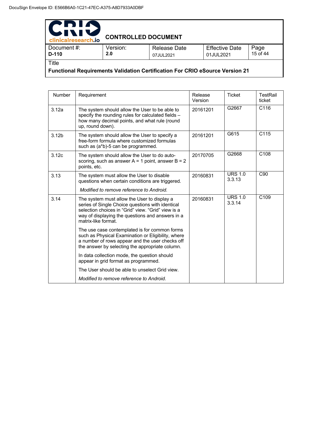| PDIA<br><b>UNI</b><br>clinicalresearch.io                                           | <b>CONTROLLED DOCUMENT</b> |                                  |                                    |                  |  |
|-------------------------------------------------------------------------------------|----------------------------|----------------------------------|------------------------------------|------------------|--|
| Document #:<br>$D-110$                                                              | Version:<br>2.0            | <b>Release Date</b><br>07JUL2021 | <b>Effective Date</b><br>01JUL2021 | Page<br>15 of 44 |  |
| Title                                                                               |                            |                                  |                                    |                  |  |
| <b>Functional Requirements Validation Certification For CRIO eSource Version 21</b> |                            |                                  |                                    |                  |  |

Number Requirement Release Version Ticket | TestRail ticket 3.12a The system should allow the User to be able to specify the rounding rules for calculated fields – how many decimal points, and what rule (round up, round down). 20161201 G2667 C116 3.12b The system should allow the User to specify a free-form formula where customized formulas such as (a\*b)-5 can be programmed. 20161201 G615 C115 3.12c **The system should allow the User to do auto**scoring, such as answer  $A = 1$  point, answer  $B = 2$ points, etc. 20170705 G2668 C108 3.13 The system must allow the User to disable questions when certain conditions are triggered. *Modified to remove reference to Android.* 20160831 URS 1.0 3.3.13 C90 3.14 The system must allow the User to display a series of Single Choice questions with identical selection choices in "Grid" view. "Grid" view is a way of displaying the questions and answers in a matrix-like format. The use case contemplated is for common forms such as Physical Examination or Eligibility, where a number of rows appear and the user checks off the answer by selecting the appropriate column. In data collection mode, the question should appear in grid format as programmed. The User should be able to unselect Grid view. *Modified to remove reference to Android.* 20160831 URS 1.0 3.3.14 C109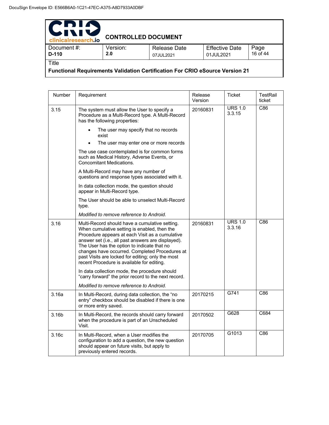| PDIN<br>611<br>clinicalresearch.io                                                  | <b>CONTROLLED DOCUMENT</b> |                           |                                    |                  |  |
|-------------------------------------------------------------------------------------|----------------------------|---------------------------|------------------------------------|------------------|--|
| Document #:<br>$D-110$                                                              | Version:<br>2.0            | Release Date<br>07JUL2021 | <b>Effective Date</b><br>01JUL2021 | Page<br>16 of 44 |  |
| Title                                                                               |                            |                           |                                    |                  |  |
| <b>Functional Requirements Validation Certification For CRIO eSource Version 21</b> |                            |                           |                                    |                  |  |

| Number | Requirement                                                                                                                                                                                                                                                                                                                                                                                                 | Release<br>Version | Ticket                   | <b>TestRail</b><br>ticket |
|--------|-------------------------------------------------------------------------------------------------------------------------------------------------------------------------------------------------------------------------------------------------------------------------------------------------------------------------------------------------------------------------------------------------------------|--------------------|--------------------------|---------------------------|
| 3.15   | The system must allow the User to specify a<br>Procedure as a Multi-Record type. A Multi-Record<br>has the following properties:                                                                                                                                                                                                                                                                            | 20160831           | <b>URS 1.0</b><br>3.3.15 | C86                       |
|        | The user may specify that no records<br>exist                                                                                                                                                                                                                                                                                                                                                               |                    |                          |                           |
|        | The user may enter one or more records                                                                                                                                                                                                                                                                                                                                                                      |                    |                          |                           |
|        | The use case contemplated is for common forms<br>such as Medical History, Adverse Events, or<br><b>Concomitant Medications.</b>                                                                                                                                                                                                                                                                             |                    |                          |                           |
|        | A Multi-Record may have any number of<br>questions and response types associated with it.                                                                                                                                                                                                                                                                                                                   |                    |                          |                           |
|        | In data collection mode, the question should<br>appear in Multi-Record type.                                                                                                                                                                                                                                                                                                                                |                    |                          |                           |
|        | The User should be able to unselect Multi-Record<br>type.                                                                                                                                                                                                                                                                                                                                                   |                    |                          |                           |
|        | Modified to remove reference to Android.                                                                                                                                                                                                                                                                                                                                                                    |                    |                          |                           |
| 3.16   | Multi-Record should have a cumulative setting.<br>When cumulative setting is enabled, then the<br>Procedure appears at each Visit as a cumulative<br>answer set (i.e., all past answers are displayed).<br>The User has the option to indicate that no<br>changes have occurred. Completed Procedures at<br>past Visits are locked for editing; only the most<br>recent Procedure is available for editing. | 20160831           | <b>URS 1.0</b><br>3.3.16 | C86                       |
|        | In data collection mode, the procedure should<br>"carry forward" the prior record to the next record.                                                                                                                                                                                                                                                                                                       |                    |                          |                           |
|        | Modified to remove reference to Android.                                                                                                                                                                                                                                                                                                                                                                    |                    |                          |                           |
| 3.16a  | In Multi-Record, during data collection, the "no<br>entry" checkbox should be disabled if there is one<br>or more entry saved.                                                                                                                                                                                                                                                                              | 20170215           | G741                     | C86                       |
| 3.16b  | In Multi-Record, the records should carry forward<br>when the procedure is part of an Unscheduled<br>Visit.                                                                                                                                                                                                                                                                                                 | 20170502           | G628                     | C684                      |
| 3.16c  | In Multi-Record, when a User modifies the<br>configuration to add a question, the new question<br>should appear on future visits, but apply to<br>previously entered records.                                                                                                                                                                                                                               | 20170705           | G1013                    | C86                       |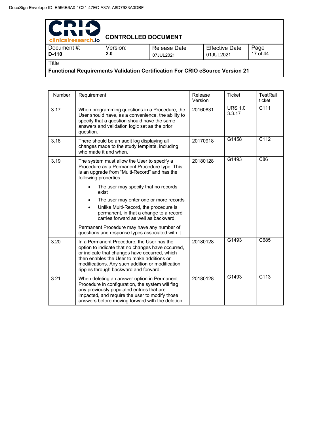| PDIA<br>INIS<br>clinicalresearch.io                                                 | <b>CONTROLLED DOCUMENT</b> |                           |                                    |                  |  |
|-------------------------------------------------------------------------------------|----------------------------|---------------------------|------------------------------------|------------------|--|
| Document #:<br>D-110                                                                | Version:<br>2.0            | Release Date<br>07JUL2021 | <b>Effective Date</b><br>01JUL2021 | Page<br>17 of 44 |  |
| Title                                                                               |                            |                           |                                    |                  |  |
| <b>Functional Requirements Validation Certification For CRIO eSource Version 21</b> |                            |                           |                                    |                  |  |

Number Requirement Release Version Ticket | TestRail ticket 3.17 When programming questions in a Procedure, the User should have, as a convenience, the ability to specify that a question should have the same answers and validation logic set as the prior question. 20160831 URS 1.0 3.3.17 C111 3.18 There should be an audit log displaying all changes made to the study template, including who made it and when. 20170918 G1458 C112 3.19 | The system must allow the User to specify a Procedure as a Permanent Procedure type. This is an upgrade from "Multi-Record" and has the following properties: The user may specify that no records exist The user may enter one or more records • Unlike Multi-Record, the procedure is permanent, in that a change to a record carries forward as well as backward. Permanent Procedure may have any number of questions and response types associated with it. 20180128 G1493 C86 3.20 | In a Permanent Procedure, the User has the option to indicate that no changes have occurred, or indicate that changes have occurred, which then enables the User to make additions or modifications. Any such addition or modification ripples through backward and forward. 20180128 G1493 C685 3.21 When deleting an answer option in Permanent Procedure in configuration, the system will flag any previously populated entries that are impacted, and require the user to modify those answers before moving forward with the deletion. 20180128 G1493 C113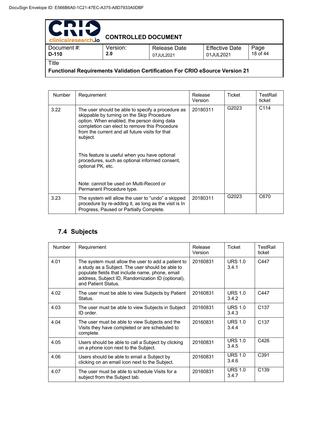| PDIA<br>IVIV<br>clinicalresearch.io                                                 | <b>CONTROLLED DOCUMENT</b> |                           |                                    |                  |  |
|-------------------------------------------------------------------------------------|----------------------------|---------------------------|------------------------------------|------------------|--|
| Document #:<br>D-110                                                                | Version:<br>2.0            | Release Date<br>07JUL2021 | <b>Effective Date</b><br>01JUL2021 | Page<br>18 of 44 |  |
| Title                                                                               |                            |                           |                                    |                  |  |
| <b>Functional Requirements Validation Certification For CRIO eSource Version 21</b> |                            |                           |                                    |                  |  |

Number Requirement Release Version Ticket TestRail ticket 3.22 The user should be able to specify a procedure as skippable by turning on the Skip Procedure option. When enabled, the person doing data completion can elect to remove this Procedure from the current and all future visits for that subject. This feature is useful when you have optional procedures, such as optional informed consent, optional PK, etc. Note: cannot be used on Multi-Record or Permanent Procedure type. 20180311 G2023 C114 3.23 The system will allow the user to "undo" a skipped procedure by re-adding it, as long as the visit is In Progress, Paused or Partially Complete. 20180311 G2023 C670

### **7.4 Subjects**

| Number | Requirement                                                                                                                                                                                                                           | <b>Release</b><br>Version | <b>Ticket</b>           | TestRail<br>ticket |
|--------|---------------------------------------------------------------------------------------------------------------------------------------------------------------------------------------------------------------------------------------|---------------------------|-------------------------|--------------------|
| 4.01   | The system must allow the user to add a patient to<br>a study as a Subject. The user should be able to<br>populate fields that include name, phone, email<br>address, Subject ID, Randomization ID (optional),<br>and Patient Status. | 20160831                  | <b>URS 1.0</b><br>3.4.1 | C447               |
| 4.02   | The user must be able to view Subjects by Patient<br>Status.                                                                                                                                                                          | 20160831                  | <b>URS 1.0</b><br>3.4.2 | C447               |
| 4.03   | The user must be able to view Subjects in Subject<br>ID order.                                                                                                                                                                        | 20160831                  | <b>URS 1.0</b><br>3.4.3 | C <sub>137</sub>   |
| 4.04   | The user must be able to view Subjects and the<br>Visits they have completed or are scheduled to<br>complete.                                                                                                                         | 20160831                  | <b>URS 1.0</b><br>3.4.4 | C <sub>137</sub>   |
| 4.05   | Users should be able to call a Subject by clicking<br>on a phone icon next to the Subject.                                                                                                                                            | 20160831                  | <b>URS 1.0</b><br>3.4.5 | C426               |
| 4.06   | Users should be able to email a Subject by<br>clicking on an email icon next to the Subject.                                                                                                                                          | 20160831                  | <b>URS 1.0</b><br>3.4.6 | C <sub>391</sub>   |
| 4.07   | The user must be able to schedule Visits for a<br>subject from the Subject tab.                                                                                                                                                       | 20160831                  | <b>URS 1.0</b><br>3.4.7 | C <sub>139</sub>   |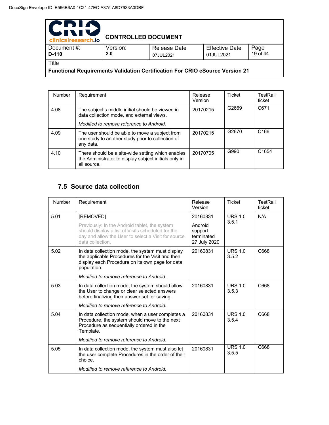| PDIA<br><b>WIN</b><br>clinicalresearch.jo                                           | <b>CONTROLLED DOCUMENT</b> |                                  |                                    |                  |  |
|-------------------------------------------------------------------------------------|----------------------------|----------------------------------|------------------------------------|------------------|--|
| Document #:<br>D-110                                                                | Version:<br>2.0            | <b>Release Date</b><br>07JUL2021 | <b>Effective Date</b><br>01JUL2021 | Page<br>19 of 44 |  |
| Title                                                                               |                            |                                  |                                    |                  |  |
| <b>Functional Requirements Validation Certification For CRIO eSource Version 21</b> |                            |                                  |                                    |                  |  |

Number Requirement Release Version Ticket | TestRail ticket 4.08 The subject's middle initial should be viewed in data collection mode, and external views. *Modified to remove reference to Android.* 20170215 G2669 C671 4.09 The user should be able to move a subject from one study to another study prior to collection of any data. 20170215 G2670 C166 4.10 There should be a site-wide setting which enables the Administrator to display subject initials only in all source. 20170705 G990 C1654

### **7.5 Source data collection**

| Number | Requirement                                                                                                                                                                   | Release<br>Version                               | <b>Ticket</b>           | TestRail<br>ticket |
|--------|-------------------------------------------------------------------------------------------------------------------------------------------------------------------------------|--------------------------------------------------|-------------------------|--------------------|
| 5.01   | [REMOVED]                                                                                                                                                                     | 20160831                                         | URS $1.0$               | N/A                |
|        | Previously: In the Android tablet, the system<br>should display a list of Visits scheduled for the<br>day and allow the User to select a Visit for source<br>data collection. | Android<br>support<br>terminated<br>27 July 2020 | 3.5.1                   |                    |
| 5.02   | In data collection mode, the system must display<br>the applicable Procedures for the Visit and then<br>display each Procedure on its own page for data<br>population.        | 20160831                                         | URS $1.0$<br>3.5.2      | C668               |
|        | Modified to remove reference to Android.                                                                                                                                      |                                                  |                         |                    |
| 5.03   | In data collection mode, the system should allow<br>the User to change or clear selected answers<br>before finalizing their answer set for saving.                            | 20160831                                         | URS $1.0$<br>3.5.3      | C668               |
|        | Modified to remove reference to Android.                                                                                                                                      |                                                  |                         |                    |
| 5.04   | In data collection mode, when a user completes a<br>Procedure, the system should move to the next<br>Procedure as sequentially ordered in the<br>Template.                    | 20160831                                         | <b>URS 1.0</b><br>3.5.4 | C668               |
|        | Modified to remove reference to Android.                                                                                                                                      |                                                  |                         |                    |
| 5.05   | In data collection mode, the system must also let<br>the user complete Procedures in the order of their<br>choice.                                                            | 20160831                                         | <b>URS 1.0</b><br>3.5.5 | C668               |
|        | Modified to remove reference to Android.                                                                                                                                      |                                                  |                         |                    |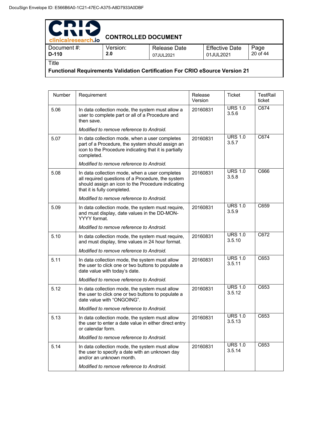| PDIA<br>IVI<br>$\blacktriangleright$<br>clinicalresearch.io | <b>CONTROLLED DOCUMENT</b> |                                  |                                    |                  |
|-------------------------------------------------------------|----------------------------|----------------------------------|------------------------------------|------------------|
| Document #:<br>$D-110$                                      | Version:<br>2.0            | <b>Release Date</b><br>07JUL2021 | <b>Effective Date</b><br>01JUL2021 | Page<br>20 of 44 |
| Title                                                       |                            |                                  |                                    |                  |

**Functional Requirements Validation Certification For CRIO eSource Version 21** 

| <b>Number</b> | Requirement                                                                                                                                                                             | Release<br>Version | Ticket                   | TestRail<br>ticket |
|---------------|-----------------------------------------------------------------------------------------------------------------------------------------------------------------------------------------|--------------------|--------------------------|--------------------|
| 5.06          | In data collection mode, the system must allow a<br>user to complete part or all of a Procedure and<br>then save.                                                                       | 20160831           | <b>URS 1.0</b><br>3.5.6  | C674               |
|               | Modified to remove reference to Android.                                                                                                                                                |                    |                          |                    |
| 5.07          | In data collection mode, when a user completes<br>part of a Procedure, the system should assign an<br>icon to the Procedure indicating that it is partially<br>completed.               | 20160831           | <b>URS 1.0</b><br>3.5.7  | C674               |
|               | Modified to remove reference to Android.                                                                                                                                                |                    |                          |                    |
| 5.08          | In data collection mode, when a user completes<br>all required questions of a Procedure, the system<br>should assign an icon to the Procedure indicating<br>that it is fully completed. | 20160831           | <b>URS 1.0</b><br>3.5.8  | C666               |
|               | Modified to remove reference to Android.                                                                                                                                                |                    |                          |                    |
| 5.09          | In data collection mode, the system must require,<br>and must display, date values in the DD-MON-<br>YYYY format.                                                                       | 20160831           | <b>URS 1.0</b><br>3.5.9  | C659               |
|               | Modified to remove reference to Android.                                                                                                                                                |                    |                          |                    |
| 5.10          | In data collection mode, the system must require,<br>and must display, time values in 24 hour format.                                                                                   | 20160831           | <b>URS 1.0</b><br>3.5.10 | C672               |
|               | Modified to remove reference to Android.                                                                                                                                                |                    |                          |                    |
| 5.11          | In data collection mode, the system must allow<br>the user to click one or two buttons to populate a<br>date value with today's date.                                                   | 20160831           | <b>URS 1.0</b><br>3.5.11 | C653               |
|               | Modified to remove reference to Android.                                                                                                                                                |                    |                          |                    |
| 5.12          | In data collection mode, the system must allow<br>the user to click one or two buttons to populate a<br>date value with "ONGOING".                                                      | 20160831           | <b>URS 1.0</b><br>3.5.12 | C653               |
|               | Modified to remove reference to Android.                                                                                                                                                |                    |                          |                    |
| 5.13          | In data collection mode, the system must allow<br>the user to enter a date value in either direct entry<br>or calendar form.                                                            | 20160831           | <b>URS 1.0</b><br>3.5.13 | C653               |
|               | Modified to remove reference to Android.                                                                                                                                                |                    |                          |                    |
| 5.14          | In data collection mode, the system must allow<br>the user to specify a date with an unknown day<br>and/or an unknown month.                                                            | 20160831           | <b>URS 1.0</b><br>3.5.14 | C653               |
|               | Modified to remove reference to Android.                                                                                                                                                |                    |                          |                    |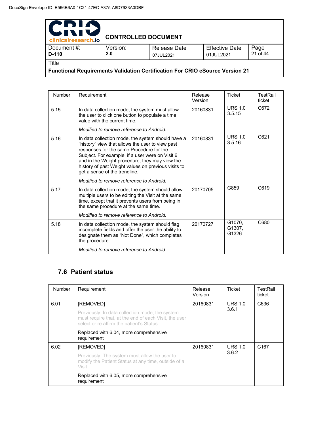| PDIA<br>611<br>TN.<br>clinicalresearch.io                                           | <b>CONTROLLED DOCUMENT</b> |                           |                                    |                  |  |
|-------------------------------------------------------------------------------------|----------------------------|---------------------------|------------------------------------|------------------|--|
| Document#:<br>D-110                                                                 | Version:<br>2.0            | Release Date<br>07JUL2021 | <b>Effective Date</b><br>01JUL2021 | Page<br>21 of 44 |  |
| Title                                                                               |                            |                           |                                    |                  |  |
| <b>Functional Requirements Validation Certification For CRIO eSource Version 21</b> |                            |                           |                                    |                  |  |

Number Requirement Release Version Ticket TestRail ticket 5.15 | In data collection mode, the system must allow the user to click one button to populate a time value with the current time. *Modified to remove reference to Android.* 20160831 URS 1.0 3.5.15 C672 5.16 | In data collection mode, the system should have a "history" view that allows the user to view past responses for the same Procedure for the Subject. For example, if a user were on Visit 6 and in the Weight procedure, they may view the history of past Weight values on previous visits to get a sense of the trendline. *Modified to remove reference to Android.* 20160831 URS 1.0 3.5.16 C621 5.17 **I** In data collection mode, the system should allow multiple users to be editing the Visit at the same time, except that it prevents users from being in the same procedure at the same time. *Modified to remove reference to Android.* 20170705 G859 C619 5.18 | In data collection mode, the system should flag incomplete fields and offer the user the ability to designate them as "Not Done", which completes the procedure. *Modified to remove reference to Android.* 20170727 G1070, G1307, G1326 C680

### **7.6 Patient status**

| <b>Number</b> | Requirement                                                                                                                                           | Release<br>Version | Ticket         | TestRail<br>ticket |
|---------------|-------------------------------------------------------------------------------------------------------------------------------------------------------|--------------------|----------------|--------------------|
| 6.01          | [REMOVED]                                                                                                                                             | 20160831           | <b>URS 1.0</b> | C636               |
|               | Previously: In data collection mode, the system<br>must require that, at the end of each Visit, the user<br>select or re affirm the patient's Status. |                    | 3.6.1          |                    |
|               | Replaced with 6.04, more comprehensive<br>requirement                                                                                                 |                    |                |                    |
| 6.02          | [REMOVED]                                                                                                                                             | 20160831           | <b>URS 1.0</b> | C <sub>167</sub>   |
|               | Previously: The system must allow the user to<br>modify the Patient Status at any time, outside of a<br>Visit.                                        |                    | 3.6.2          |                    |
|               | Replaced with 6.05, more comprehensive<br>requirement                                                                                                 |                    |                |                    |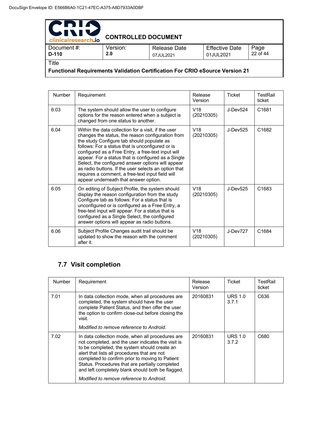| PDIA<br>611<br>clinicalresearch.io                                                  | <b>CONTROLLED DOCUMENT</b> |                                  |                                    |                  |  |
|-------------------------------------------------------------------------------------|----------------------------|----------------------------------|------------------------------------|------------------|--|
| Document#:<br>D-110                                                                 | Version:<br>2.0            | <b>Release Date</b><br>07JUL2021 | <b>Effective Date</b><br>01JUL2021 | Page<br>22 of 44 |  |
| Title                                                                               |                            |                                  |                                    |                  |  |
| <b>Functional Requirements Validation Certification For CRIO eSource Version 21</b> |                            |                                  |                                    |                  |  |

| <b>Number</b> | Requirement                                                                                                                                                                                                                                                                                                                                                                                                                                                                                                                       | Release<br>Version            | Ticket     | TestRail<br>ticket |
|---------------|-----------------------------------------------------------------------------------------------------------------------------------------------------------------------------------------------------------------------------------------------------------------------------------------------------------------------------------------------------------------------------------------------------------------------------------------------------------------------------------------------------------------------------------|-------------------------------|------------|--------------------|
| 6.03          | The system should allow the user to configure<br>options for the reason entered when a subject is<br>changed from one status to another.                                                                                                                                                                                                                                                                                                                                                                                          | V <sub>18</sub><br>(20210305) | J-Dev524   | C1681              |
| 6.04          | Within the data collection for a visit, if the user<br>changes the status, the reason configuration from<br>the study Configure tab should populate as<br>follows: For a status that is unconfigured or is<br>configured as a Free Entry, a free-text input will<br>appear. For a status that is configured as a Single<br>Select, the configured answer options will appear<br>as radio buttons. If the user selects an option that<br>requires a comment, a free-text input field will<br>appear underneath that answer option. | V18<br>(20210305)             | J-Dev525   | C <sub>1682</sub>  |
| 6.05          | On editing of Subject Profile, the system should<br>display the reason configuration from the study<br>Configure tab as follows: For a status that is<br>unconfigured or is configured as a Free Entry, a<br>free-text input will appear. For a status that is<br>configured as a Single Select, the configured<br>answer options will appear as radio buttons.                                                                                                                                                                   | V18<br>(20210305)             | $J-Dev525$ | C <sub>1683</sub>  |
| 6.06          | Subject Profile Changes audit trail should be<br>updated to show the reason with the comment<br>after it.                                                                                                                                                                                                                                                                                                                                                                                                                         | V18<br>(20210305)             | J-Dev727   | C1684              |

# **7.7 Visit completion**

| <b>Number</b> | Requirement                                                                                                                                                                                                                                                                                                                                                       | Release<br>Version | Ticket                  | TestRail<br>ticket |
|---------------|-------------------------------------------------------------------------------------------------------------------------------------------------------------------------------------------------------------------------------------------------------------------------------------------------------------------------------------------------------------------|--------------------|-------------------------|--------------------|
| 7.01          | In data collection mode, when all procedures are<br>completed, the system should have the user<br>complete Patient Status, and then offer the user<br>the option to confirm close-out before closing the<br>visit.                                                                                                                                                | 20160831           | <b>URS 1.0</b><br>3.7.1 | C636               |
|               | Modified to remove reference to Android.                                                                                                                                                                                                                                                                                                                          |                    |                         |                    |
| 7.02          | In data collection mode, when all procedures are<br>not completed, and the user indicates the visit is<br>to be completed, the system should create an<br>alert that lists all procedures that are not<br>completed to confirm prior to moving to Patient<br>Status. Procedures that are partially completed<br>and left completely blank should both be flagged. | 20160831           | <b>URS 1.0</b><br>3.7.2 | C680               |
|               | Modified to remove reference to Android.                                                                                                                                                                                                                                                                                                                          |                    |                         |                    |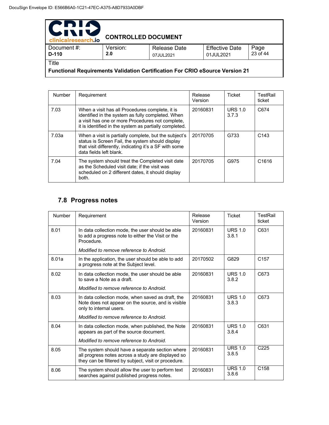| PDIA<br>IXI!<br>clinicalresearch.io                                                          | <b>CONTROLLED DOCUMENT</b> |                                  |                                    |                  |
|----------------------------------------------------------------------------------------------|----------------------------|----------------------------------|------------------------------------|------------------|
| Document #:<br>$D-110$                                                                       | Version:<br>2.0            | <b>Release Date</b><br>07JUL2021 | <b>Effective Date</b><br>01JUL2021 | Page<br>23 of 44 |
| Title<br><b>Functional Requirements Validation Certification For CRIO eSource Version 21</b> |                            |                                  |                                    |                  |

Number Requirement Release Version Ticket | TestRail ticket 7.03 When a visit has all Procedures complete, it is identified in the system as fully completed. When a visit has one or more Procedures not complete, it is identified in the system as partially completed. 20160831 URS 1.0 3.7.3 C674 7.03a When a visit is partially complete, but the subject's status is Screen Fail, the system should display that visit differently, indicating it's a SF with some data fields left blank. 20170705 G733 C143 7.04 The system should treat the Completed visit date as the Scheduled visit date; if the visit was scheduled on 2 different dates, it should display both. 20170705 | G975 | C1616

### **7.8 Progress notes**

| Number | Requirement                                                                                                                                                   | Release<br>Version | <b>Ticket</b>           | TestRail<br>ticket |
|--------|---------------------------------------------------------------------------------------------------------------------------------------------------------------|--------------------|-------------------------|--------------------|
| 8.01   | In data collection mode, the user should be able<br>to add a progress note to either the Visit or the<br>Procedure.                                           | 20160831           | URS $1.0$<br>3.8.1      | C631               |
|        | Modified to remove reference to Android.                                                                                                                      |                    |                         |                    |
| 8.01a  | In the application, the user should be able to add<br>a progress note at the Subject level.                                                                   | 20170502           | G829                    | C <sub>157</sub>   |
| 8.02   | In data collection mode, the user should be able<br>to save a Note as a draft.                                                                                | 20160831           | <b>URS 1.0</b><br>3.8.2 | C673               |
|        | Modified to remove reference to Android.                                                                                                                      |                    |                         |                    |
| 8.03   | In data collection mode, when saved as draft, the<br>Note does not appear on the source, and is visible<br>only to internal users.                            | 20160831           | URS $1.0$<br>3.8.3      | C673               |
|        | Modified to remove reference to Android.                                                                                                                      |                    |                         |                    |
| 8.04   | In data collection mode, when published, the Note<br>appears as part of the source document.                                                                  | 20160831           | URS $1.0$<br>3.8.4      | C631               |
|        | Modified to remove reference to Android.                                                                                                                      |                    |                         |                    |
| 8.05   | The system should have a separate section where<br>all progress notes across a study are displayed so<br>they can be filtered by subject, visit or procedure. | 20160831           | <b>URS 1.0</b><br>3.8.5 | C <sub>225</sub>   |
| 8.06   | The system should allow the user to perform text<br>searches against published progress notes.                                                                | 20160831           | <b>URS 1.0</b><br>3.8.6 | C <sub>158</sub>   |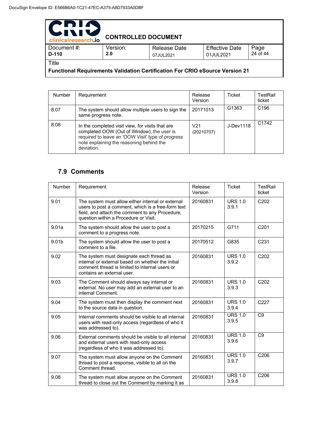| PDIA<br>clinicalresearch.io                                                         | <b>CONTROLLED DOCUMENT</b> |                                  |                                    |                  |  |
|-------------------------------------------------------------------------------------|----------------------------|----------------------------------|------------------------------------|------------------|--|
| Document#:<br>$D-110$                                                               | Version:<br>2.0            | <b>Release Date</b><br>07JUL2021 | <b>Effective Date</b><br>01JUL2021 | Page<br>24 of 44 |  |
| Title                                                                               |                            |                                  |                                    |                  |  |
| <b>Functional Requirements Validation Certification For CRIO eSource Version 21</b> |                            |                                  |                                    |                  |  |

Number Requirement Release Version Ticket | TestRail ticket 8.07 | The system should allow multiple users to sign the same progress note. 20171013 G1363 C196 8.08 In the completed visit view, for visits that are completed OOW (Out of Window), the user is required to leave an 'OOW Visit' type of progress note explaining the reasoning behind the deviation. V21 (20210707) J-Dev1118 C1742

### **7.9 Comments**

| Number            | Requirement                                                                                                                                                                                         | Release<br>Version | <b>Ticket</b>           | TestRail<br>ticket |
|-------------------|-----------------------------------------------------------------------------------------------------------------------------------------------------------------------------------------------------|--------------------|-------------------------|--------------------|
| 9.01              | The system must allow either internal or external<br>users to post a comment, which is a free-form text<br>field, and attach the comment to any Procedure,<br>question within a Procedure or Visit. | 20160831           | <b>URS 1.0</b><br>3.9.1 | C <sub>202</sub>   |
| 9.01a             | The system should allow the user to post a<br>comment to a progress note.                                                                                                                           | 20170215           | G711                    | C <sub>201</sub>   |
| 9.01 <sub>b</sub> | The system should allow the user to post a<br>comment to a file.                                                                                                                                    | 20170512           | G835                    | C <sub>231</sub>   |
| 9.02              | The system must designate each thread as<br>internal or external based on whether the initial<br>comment thread is limited to internal users or<br>contains an external user.                       | 20160831           | <b>URS 1.0</b><br>3.9.2 | C <sub>202</sub>   |
| 9.03              | The Comment should always say internal or<br>external. No user may add an external user to an<br>internal Comment.                                                                                  | 20160831           | URS $1.0$<br>3.9.3      | C <sub>202</sub>   |
| 9.04              | The system must then display the comment next<br>to the source data in question.                                                                                                                    | 20160831           | <b>URS 1.0</b><br>3.9.4 | C <sub>227</sub>   |
| 9.05              | Internal comments should be visible to all internal<br>users with read-only access (regardless of who it<br>was addressed to).                                                                      | 20160831           | <b>URS 1.0</b><br>3.9.5 | C <sub>9</sub>     |
| 9.06              | External comments should be visible to all internal<br>and external users with read-only access<br>(regardless of who it was addressed to).                                                         | 20160831           | <b>URS 1.0</b><br>3.9.6 | C <sub>9</sub>     |
| 9.07              | The system must allow anyone on the Comment<br>thread to post a response, visible to all on the<br>Comment thread.                                                                                  | 20160831           | <b>URS 1.0</b><br>3.9.7 | C206               |
| 9.08              | The system must allow anyone on the Comment<br>thread to close out the Comment by marking it as                                                                                                     | 20160831           | <b>URS 1.0</b><br>3.9.8 | C206               |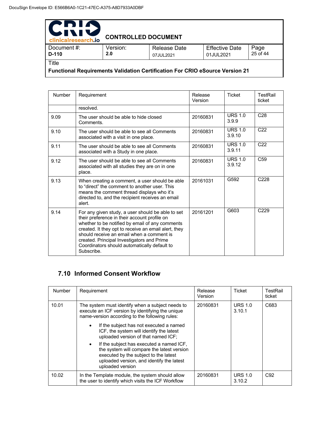| PDIA<br><b>WIND</b><br>clinicalresearch.io                                                   | <b>CONTROLLED DOCUMENT</b> |                           |                                    |                  |  |  |
|----------------------------------------------------------------------------------------------|----------------------------|---------------------------|------------------------------------|------------------|--|--|
| Document#:<br>$D-110$                                                                        | Version:<br>2.0            | Release Date<br>07JUL2021 | <b>Effective Date</b><br>01JUL2021 | Page<br>25 of 44 |  |  |
| Title<br><b>Functional Requirements Validation Certification For CRIO eSource Version 21</b> |                            |                           |                                    |                  |  |  |

| <b>Number</b> | Requirement                                                                                                                                                                                                                                                                                                                                                           | Release<br>Version | <b>Ticket</b>            | TestRail<br>ticket |
|---------------|-----------------------------------------------------------------------------------------------------------------------------------------------------------------------------------------------------------------------------------------------------------------------------------------------------------------------------------------------------------------------|--------------------|--------------------------|--------------------|
|               | resolved.                                                                                                                                                                                                                                                                                                                                                             |                    |                          |                    |
| 9.09          | The user should be able to hide closed<br>Comments.                                                                                                                                                                                                                                                                                                                   | 20160831           | URS $1.0$<br>3.9.9       | C <sub>28</sub>    |
| 9.10          | The user should be able to see all Comments<br>associated with a visit in one place.                                                                                                                                                                                                                                                                                  | 20160831           | <b>URS 1.0</b><br>3.9.10 | C <sub>22</sub>    |
| 9.11          | The user should be able to see all Comments<br>associated with a Study in one place.                                                                                                                                                                                                                                                                                  | 20160831           | <b>URS 1.0</b><br>3.9.11 | C <sub>22</sub>    |
| 9.12          | The user should be able to see all Comments<br>associated with all studies they are on in one<br>place.                                                                                                                                                                                                                                                               | 20160831           | URS $1.0$<br>3.9.12      | C <sub>59</sub>    |
| 9.13          | When creating a comment, a user should be able<br>to "direct" the comment to another user. This<br>means the comment thread displays who it's<br>directed to, and the recipient receives an email<br>alert.                                                                                                                                                           | 20161031           | G592                     | C <sub>228</sub>   |
| 9.14          | For any given study, a user should be able to set<br>their preference in their account profile on<br>whether to be notified by email of any comments<br>created. It they opt to receive an email alert, they<br>should receive an email when a comment is<br>created. Principal Investigators and Prime<br>Coordinators should automatically default to<br>Subscribe. | 20161201           | G603                     | C <sub>229</sub>   |

# **7.10 Informed Consent Workflow**

| <b>Number</b> | Requirement                                                                                                                                                                                                   | Release<br>Version | Ticket                   | TestRail<br>ticket |
|---------------|---------------------------------------------------------------------------------------------------------------------------------------------------------------------------------------------------------------|--------------------|--------------------------|--------------------|
| 10.01         | The system must identify when a subject needs to<br>execute an ICF version by identifying the unique<br>name-version according to the following rules:                                                        | 20160831           | <b>URS 1.0</b><br>3.10.1 | C683               |
|               | If the subject has not executed a named<br>$\bullet$<br>ICF, the system will identify the latest<br>uploaded version of that named ICF;                                                                       |                    |                          |                    |
|               | If the subject has executed a named ICF.<br>$\bullet$<br>the system will compare the latest version<br>executed by the subject to the latest<br>uploaded version, and identify the latest<br>uploaded version |                    |                          |                    |
| 10.02         | In the Template module, the system should allow<br>the user to identify which visits the ICF Workflow                                                                                                         | 20160831           | <b>URS 1.0</b><br>3.10.2 | C <sub>92</sub>    |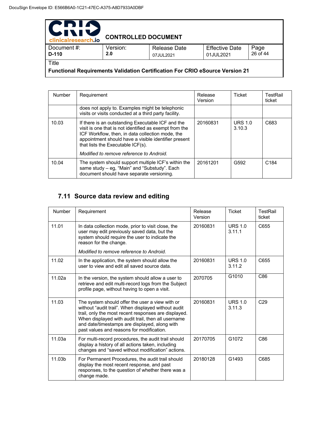| PNIA<br>INI'<br>clinicalresearch.io                                                          | <b>CONTROLLED DOCUMENT</b> |                           |                                    |                  |
|----------------------------------------------------------------------------------------------|----------------------------|---------------------------|------------------------------------|------------------|
| Document#:<br>$D-110$                                                                        | Version:<br>2.0            | Release Date<br>07JUL2021 | <b>Effective Date</b><br>01JUL2021 | Page<br>26 of 44 |
| Title<br><b>Functional Requirements Validation Certification For CRIO eSource Version 21</b> |                            |                           |                                    |                  |

Number Requirement Release Version Ticket TestRail ticket does not apply to. Examples might be telephonic visits or visits conducted at a third party facility. 10.03 | If there is an outstanding Executable ICF and the visit is one that is not identified as exempt from the ICF Workflow, then, in data collection mode, the appointment should have a visible identifier present that lists the Executable ICF(s). *Modified to remove reference to Android.* 20160831 URS 1.0 3.10.3 C683 10.04 The system should support multiple ICF's within the same study – eg, "Main" and "Substudy". Each document should have separate versioning. 20161201 G592 C184

### **7.11 Source data review and editing**

| Number | Requirement                                                                                                                                                                                                                                                                                                        | Release<br>Version | <b>Ticket</b>            | TestRail<br>ticket |
|--------|--------------------------------------------------------------------------------------------------------------------------------------------------------------------------------------------------------------------------------------------------------------------------------------------------------------------|--------------------|--------------------------|--------------------|
| 11.01  | In data collection mode, prior to visit close, the<br>user may edit previously saved data, but the<br>system should require the user to indicate the<br>reason for the change.                                                                                                                                     | 20160831           | URS $1.0$<br>3.11.1      | C655               |
|        | Modified to remove reference to Android.                                                                                                                                                                                                                                                                           |                    |                          |                    |
| 11.02  | In the application, the system should allow the<br>user to view and edit all saved source data.                                                                                                                                                                                                                    | 20160831           | <b>URS 1.0</b><br>3.11.2 | C655               |
| 11.02a | In the version, the system should allow a user to<br>retrieve and edit multi-record logs from the Subject<br>profile page, without having to open a visit.                                                                                                                                                         | 2070705            | G <sub>1010</sub>        | C86                |
| 11.03  | The system should offer the user a view with or<br>without "audit trail". When displayed without audit<br>trail, only the most recent responses are displayed.<br>When displayed with audit trail, then all username<br>and date/timestamps are displayed, along with<br>past values and reasons for modification. | 20160831           | URS $1.0$<br>3.11.3      | C <sub>29</sub>    |
| 11.03a | For multi-record procedures, the audit trail should<br>display a history of all actions taken, including<br>changes and "saved without modification" actions.                                                                                                                                                      | 20170705           | G <sub>1072</sub>        | C86                |
| 11.03b | For Permanent Procedures, the audit trail should<br>display the most recent response, and past<br>responses, to the question of whether there was a<br>change made.                                                                                                                                                | 20180128           | G1493                    | C685               |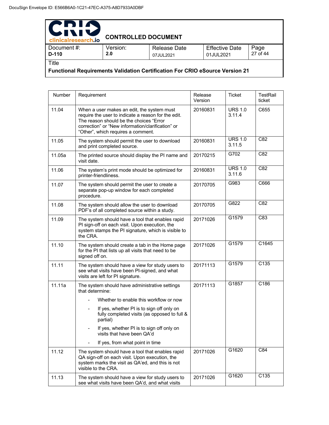| PDIA<br><b>WIND</b><br>clinicalresearch.io                                          | <b>CONTROLLED DOCUMENT</b> |                           |                                    |                  |
|-------------------------------------------------------------------------------------|----------------------------|---------------------------|------------------------------------|------------------|
| Document #:<br>D-110                                                                | Version:<br>2.0            | Release Date<br>07JUL2021 | <b>Effective Date</b><br>01JUL2021 | Page<br>27 of 44 |
| Title                                                                               |                            |                           |                                    |                  |
| <b>Functional Requirements Validation Certification For CRIO eSource Version 21</b> |                            |                           |                                    |                  |

Number Requirement Release Version Ticket TestRail ticket 11.04 When a user makes an edit, the system must require the user to indicate a reason for the edit. The reason should be the choices "Error correction" or "New information/clarification" or "Other", which requires a comment. 20160831 URS 1.0 3.11.4 C655 11.05 The system should permit the user to download and print completed source. 20160831 URS 1.0 3.11.5  $C82$ 11.05a | The printed source should display the PI name and visit date. 20170215 G702 C82 11.06 | The system's print mode should be optimized for printer-friendliness. 20160831 URS 1.0 3.11.6 C82 11.07 | The system should permit the user to create a separate pop-up window for each completed procedure. 20170705 G983 C666 11.08 The system should allow the user to download PDF's of all completed source within a study. 20170705 G822 C82 11.09 The system should have a tool that enables rapid PI sign-off on each visit. Upon execution, the system stamps the PI signature, which is visible to the CRA. 20171026 G1579 C83 11.10 The system should create a tab in the Home page for the PI that lists up all visits that need to be signed off on. 20171026 G1579 C1645 11.11 The system should have a view for study users to see what visits have been PI-signed, and what visits are left for PI signature. 20171113 G1579 C135 11.11a **The system should have administrative settings** that determine: Whether to enable this workflow or now If yes, whether PI is to sign off only on fully completed visits (as opposed to full & partial) If yes, whether PI is to sign off only on visits that have been QA'd If yes, from what point in time 20171113 G1857 C186 11.12 | The system should have a tool that enables rapid QA sign-off on each visit. Upon execution, the system marks the visit as QA'ed, and this is not visible to the CRA. 20171026 G1620 C84 11.13 **The system should have a view for study users to** see what visits have been QA'd, and what visits 20171026 G1620 C135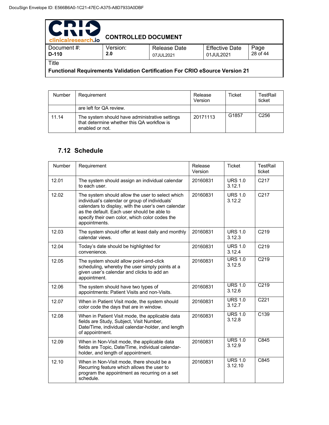| PDIA<br><b>WIND</b><br>clinicalresearch.io                                   | <b>CONTROLLED DOCUMENT</b> |                                  |                                    |                  |  |
|------------------------------------------------------------------------------|----------------------------|----------------------------------|------------------------------------|------------------|--|
| Document#:<br>$D-110$                                                        | Version:<br>2.0            | <b>Release Date</b><br>07JUL2021 | <b>Effective Date</b><br>01JUL2021 | Page<br>28 of 44 |  |
| Title                                                                        |                            |                                  |                                    |                  |  |
| Functional Requirements Validation Certification For CRIO eSource Version 21 |                            |                                  |                                    |                  |  |

| <b>Number</b> | Requirement                                                                                                     | Release<br>Version | Ticket | TestRail<br>ticket |
|---------------|-----------------------------------------------------------------------------------------------------------------|--------------------|--------|--------------------|
|               | are left for QA review.                                                                                         |                    |        |                    |
| 11.14         | The system should have administrative settings<br>that determine whether this QA workflow is<br>enabled or not. | 20171113           | G1857  | C <sub>256</sub>   |

### **7.12 Schedule**

| Number | Requirement                                                                                                                                                                                                                                                                | Release<br>Version | <b>Ticket</b>             | <b>TestRail</b><br>ticket |
|--------|----------------------------------------------------------------------------------------------------------------------------------------------------------------------------------------------------------------------------------------------------------------------------|--------------------|---------------------------|---------------------------|
| 12.01  | The system should assign an individual calendar<br>to each user.                                                                                                                                                                                                           | 20160831           | <b>URS 1.0</b><br>3.12.1  | C <sub>217</sub>          |
| 12.02  | The system should allow the user to select which<br>individual's calendar or group of individuals'<br>calendars to display, with the user's own calendar<br>as the default. Each user should be able to<br>specify their own color, which color codes the<br>appointments. | 20160831           | <b>URS 1.0</b><br>3.12.2  | C <sub>217</sub>          |
| 12.03  | The system should offer at least daily and monthly<br>calendar views.                                                                                                                                                                                                      | 20160831           | <b>URS 1.0</b><br>3.12.3  | C219                      |
| 12.04  | Today's date should be highlighted for<br>convenience.                                                                                                                                                                                                                     | 20160831           | <b>URS 1.0</b><br>3.12.4  | C <sub>219</sub>          |
| 12.05  | The system should allow point-and-click<br>scheduling, whereby the user simply points at a<br>given user's calendar and clicks to add an<br>appointment.                                                                                                                   | 20160831           | <b>URS 1.0</b><br>3.12.5  | C <sub>219</sub>          |
| 12.06  | The system should have two types of<br>appointments: Patient Visits and non-Visits.                                                                                                                                                                                        | 20160831           | <b>URS 1.0</b><br>3.12.6  | C <sub>219</sub>          |
| 12.07  | When in Patient Visit mode, the system should<br>color code the days that are in window.                                                                                                                                                                                   | 20160831           | <b>URS 1.0</b><br>3.12.7  | C <sub>221</sub>          |
| 12.08  | When in Patient Visit mode, the applicable data<br>fields are Study, Subject, Visit Number,<br>Date/Time, individual calendar-holder, and length<br>of appointment.                                                                                                        | 20160831           | <b>URS 1.0</b><br>3.12.8  | C139                      |
| 12.09  | When in Non-Visit mode, the applicable data<br>fields are Topic, Date/Time, individual calendar-<br>holder, and length of appointment.                                                                                                                                     | 20160831           | <b>URS 1.0</b><br>3.12.9  | C845                      |
| 12.10  | When in Non-Visit mode, there should be a<br>Recurring feature which allows the user to<br>program the appointment as recurring on a set<br>schedule.                                                                                                                      | 20160831           | <b>URS 1.0</b><br>3.12.10 | C845                      |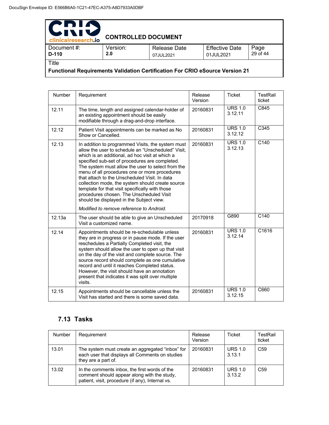| PDIA<br>611<br>clinicalresearch.io                                                  | <b>CONTROLLED DOCUMENT</b> |                                  |                                    |                  |  |
|-------------------------------------------------------------------------------------|----------------------------|----------------------------------|------------------------------------|------------------|--|
| Document #:<br>D-110                                                                | Version:<br>2.0            | <b>Release Date</b><br>07JUL2021 | <b>Effective Date</b><br>01JUL2021 | Page<br>29 of 44 |  |
| Title                                                                               |                            |                                  |                                    |                  |  |
| <b>Functional Requirements Validation Certification For CRIO eSource Version 21</b> |                            |                                  |                                    |                  |  |

| Number | Requirement                                                                                                                                                                                                                                                                                                                                                                                                                                                                                                                                                                                                    | Release<br>Version | <b>Ticket</b>             | <b>TestRail</b><br>ticket |
|--------|----------------------------------------------------------------------------------------------------------------------------------------------------------------------------------------------------------------------------------------------------------------------------------------------------------------------------------------------------------------------------------------------------------------------------------------------------------------------------------------------------------------------------------------------------------------------------------------------------------------|--------------------|---------------------------|---------------------------|
| 12.11  | The time, length and assigned calendar-holder of<br>an existing appointment should be easily<br>modifiable through a drag-and-drop interface.                                                                                                                                                                                                                                                                                                                                                                                                                                                                  | 20160831           | <b>URS 1.0</b><br>3.12.11 | C845                      |
| 12.12  | Patient Visit appointments can be marked as No<br>Show or Cancelled.                                                                                                                                                                                                                                                                                                                                                                                                                                                                                                                                           | 20160831           | <b>URS 1.0</b><br>3.12.12 | C345                      |
| 12.13  | In addition to programmed Visits, the system must<br>allow the user to schedule an "Unscheduled" Visit,<br>which is an additional, ad hoc visit at which a<br>specified sub-set of procedures are completed.<br>The system must allow the user to select from the<br>menu of all procedures one or more procedures<br>that attach to the Unscheduled Visit. In data<br>collection mode, the system should create source<br>template for that visit specifically with those<br>procedures chosen. The Unscheduled Visit<br>should be displayed in the Subject view.<br>Modified to remove reference to Android. | 20160831           | <b>URS 1.0</b><br>3.12.13 | C <sub>140</sub>          |
| 12.13a | The user should be able to give an Unscheduled<br>Visit a customized name.                                                                                                                                                                                                                                                                                                                                                                                                                                                                                                                                     | 20170918           | G890                      | C140                      |
| 12.14  | Appointments should be re-schedulable unless<br>they are in progress or in pause mode. If the user<br>reschedules a Partially Completed visit, the<br>system should allow the user to open up that visit<br>on the day of the visit and complete source. The<br>source record should complete as one cumulative<br>record and until it reaches Completed status.<br>However, the visit should have an annotation<br>present that indicates it was split over multiple<br>visits.                                                                                                                               | 20160831           | <b>URS 1.0</b><br>3.12.14 | C1616                     |
| 12.15  | Appointments should be cancellable unless the<br>Visit has started and there is some saved data.                                                                                                                                                                                                                                                                                                                                                                                                                                                                                                               | 20160831           | <b>URS 1.0</b><br>3.12.15 | C660                      |

### **7.13 Tasks**

| <b>Number</b> | Requirement                                                                                                                                      | Release<br>Version | <b>Ticket</b>            | TestRail<br>ticket |
|---------------|--------------------------------------------------------------------------------------------------------------------------------------------------|--------------------|--------------------------|--------------------|
| 13.01         | The system must create an aggregated "inbox" for<br>each user that displays all Comments on studies<br>they are a part of.                       | 20160831           | <b>URS 1.0</b><br>3.13.1 | C <sub>59</sub>    |
| 13.02         | In the comments inbox, the first words of the<br>comment should appear along with the study,<br>patient, visit, procedure (if any), Internal vs. | 20160831           | <b>URS 1.0</b><br>3.13.2 | C <sub>59</sub>    |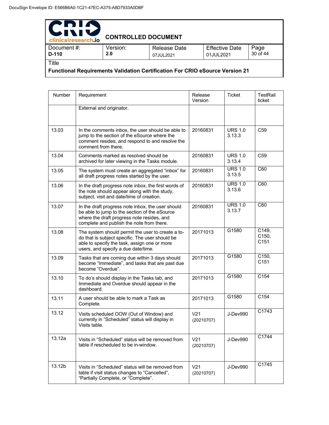| PDIA<br>511<br>IV.                                                                           |                            |                           |                                    |                  |
|----------------------------------------------------------------------------------------------|----------------------------|---------------------------|------------------------------------|------------------|
| clinicalresearch.io                                                                          | <b>CONTROLLED DOCUMENT</b> |                           |                                    |                  |
| Document #:<br>D-110                                                                         | Version:<br>2.0            | Release Date<br>07JUL2021 | <b>Effective Date</b><br>01JUL2021 | Page<br>30 of 44 |
| Title<br><b>Functional Requirements Validation Certification For CRIO eSource Version 21</b> |                            |                           |                                    |                  |

| Number | Requirement                                                                                                                                                                                   | Release<br>Version            | <b>Ticket</b>            | TestRail<br>ticket                |
|--------|-----------------------------------------------------------------------------------------------------------------------------------------------------------------------------------------------|-------------------------------|--------------------------|-----------------------------------|
|        | External and originator.                                                                                                                                                                      |                               |                          |                                   |
| 13.03  | In the comments inbox, the user should be able to<br>jump to the section of the eSource where the<br>comment resides, and respond to and resolve the<br>comment from there.                   | 20160831                      | <b>URS 1.0</b><br>3.13.3 | C <sub>59</sub>                   |
| 13.04  | Comments marked as resolved should be<br>archived for later viewing in the Tasks module.                                                                                                      | 20160831                      | <b>URS 1.0</b><br>3.13.4 | C <sub>59</sub>                   |
| 13.05  | The system must create an aggregated "inbox" for<br>all draft progress notes started by the user.                                                                                             | 20160831                      | <b>URS 1.0</b><br>3.13.5 | C60                               |
| 13.06  | In the draft progress note inbox, the first words of<br>the note should appear along with the study,<br>subject, visit and date/time of creation.                                             | 20160831                      | <b>URS 1.0</b><br>3.13.6 | C60                               |
| 13.07  | In the draft progress note inbox, the user should<br>be able to jump to the section of the eSource<br>where the draft progress note resides, and<br>complete and publish the note from there. | 20160831                      | <b>URS 1.0</b><br>3.13.7 | C60                               |
| 13.08  | The system should permit the user to create a to-<br>do that is subject specific. The user should be<br>able to specify the task, assign one or more<br>users, and specify a due date/time.   | 20171013                      | G1580                    | C149,<br>C <sub>150</sub><br>C151 |
| 13.09  | Tasks that are coming due within 3 days should<br>become "Immediate", and tasks that are past due<br>become "Overdue".                                                                        | 20171013                      | G1580                    | C150,<br>C <sub>151</sub>         |
| 13.10  | To do's should display in the Tasks tab, and<br>Immediate and Overdue should appear in the<br>dashboard.                                                                                      | 20171013                      | G1580                    | C154                              |
| 13.11  | A user should be able to mark a Task as<br>Complete.                                                                                                                                          | 20171013                      | G1580                    | C154                              |
| 13.12  | Visits scheduled OOW (Out of Window) and<br>currently in "Scheduled" status will display in<br>Visits table.                                                                                  | V <sub>21</sub><br>(20210707) | J-Dev990                 | C1743                             |
| 13.12a | Visits in "Scheduled" status will be removed from<br>table if rescheduled to be in-window.                                                                                                    | V <sub>21</sub><br>(20210707) | J-Dev990                 | C1744                             |
| 13.12b | Visits in "Scheduled" status will be removed from<br>table if visit status changes to "Cancelled",<br>"Partially Complete, or "Complete".                                                     | V <sub>21</sub><br>(20210707) | J-Dev990                 | C1745                             |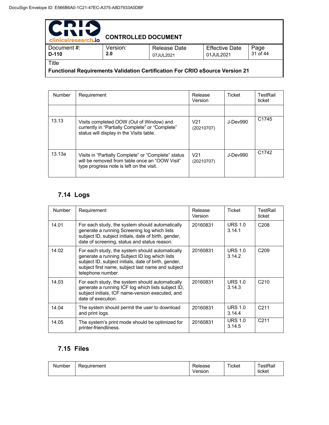| PDIN<br>1 V I<br>clinicalresearch.io                                                | <b>CONTROLLED DOCUMENT</b> |                           |                                    |                  |  |  |
|-------------------------------------------------------------------------------------|----------------------------|---------------------------|------------------------------------|------------------|--|--|
| Document#:<br>$D-110$                                                               | Version:<br>2.0            | Release Date<br>07JUL2021 | <b>Effective Date</b><br>01JUL2021 | Page<br>31 of 44 |  |  |
| <b>Title</b>                                                                        |                            |                           |                                    |                  |  |  |
| <b>Functional Requirements Validation Certification For CRIO eSource Version 21</b> |                            |                           |                                    |                  |  |  |

Number Requirement Release Version Ticket | TestRail ticket 13.13 Visits completed OOW (Out of Window) and currently in "Partially Complete" or "Complete" status will display in the Visits table. V21 (20210707) J-Dev990 C1745 13.13a | Visits in "Partially Complete" or "Complete" status will be removed from table once an "OOW Visit" type progress note is left on the visit. V21 (20210707) J-Dev990 C1742

### **7.14 Logs**

| <b>Number</b> | Requirement                                                                                                                                                                                                                        | Release<br>Version | Ticket                   | TestRail<br>ticket |
|---------------|------------------------------------------------------------------------------------------------------------------------------------------------------------------------------------------------------------------------------------|--------------------|--------------------------|--------------------|
| 14.01         | For each study, the system should automatically<br>generate a running Screening log which lists<br>subject ID, subject initials, date of birth, gender,<br>date of screening, status and status reason.                            | 20160831           | <b>URS 1.0</b><br>3.14.1 | C <sub>208</sub>   |
| 14.02         | For each study, the system should automatically<br>generate a running Subject ID log which lists<br>subject ID, subject initials, date of birth, gender,<br>subject first name, subject last name and subject<br>telephone number. | 20160831           | <b>URS 1.0</b><br>3.14.2 | C <sub>209</sub>   |
| 14.03         | For each study, the system should automatically<br>generate a running ICF log which lists subject ID,<br>subject initials, ICF name-version executed, and<br>date of execution.                                                    | 20160831           | <b>URS 1.0</b><br>3.14.3 | C <sub>210</sub>   |
| 14.04         | The system should permit the user to download<br>and print logs.                                                                                                                                                                   | 20160831           | <b>URS 1.0</b><br>3.14.4 | C <sub>211</sub>   |
| 14.05         | The system's print mode should be optimized for<br>printer-friendliness.                                                                                                                                                           | 20160831           | <b>URS 1.0</b><br>3.14.5 | C <sub>211</sub>   |

### **7.15 Files**

| Number | Requirement | Release<br>Version | Ticket | <sup>-</sup> estRail<br>. .<br>ticket |
|--------|-------------|--------------------|--------|---------------------------------------|
|--------|-------------|--------------------|--------|---------------------------------------|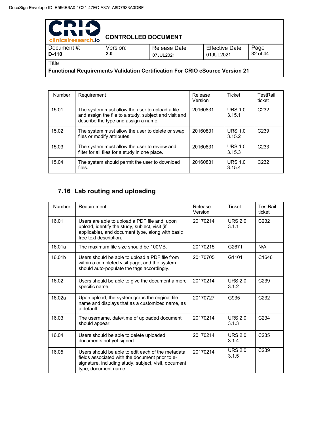| PDIA<br><b>WIXI</b><br>clinicalresearch.jo                                          | <b>CONTROLLED DOCUMENT</b> |                                  |                                    |                  |  |  |
|-------------------------------------------------------------------------------------|----------------------------|----------------------------------|------------------------------------|------------------|--|--|
| Document #:<br>D-110                                                                | Version:<br>2.0            | <b>Release Date</b><br>07JUL2021 | <b>Effective Date</b><br>01JUL2021 | Page<br>32 of 44 |  |  |
| Title                                                                               |                            |                                  |                                    |                  |  |  |
| <b>Functional Requirements Validation Certification For CRIO eSource Version 21</b> |                            |                                  |                                    |                  |  |  |

Number Requirement Release Version Ticket | TestRail ticket 15.01 | The system must allow the user to upload a file and assign the file to a study, subject and visit and describe the type and assign a name. 20160831 URS 1.0 3.15.1 C232 15.02 | The system must allow the user to delete or swap files or modify attributes. 20160831 URS 1.0 3.15.2 C239 15.03 | The system must allow the user to review and filter for all files for a study in one place. 20160831 URS 1.0 3.15.3 C233 15.04 | The system should permit the user to download files. 20160831 URS 1.0 3.15.4 C232

### **7.16 Lab routing and uploading**

| Number | Requirement                                                                                                                                                                          | Release<br>Version | <b>Ticket</b>           | TestRail<br>ticket |
|--------|--------------------------------------------------------------------------------------------------------------------------------------------------------------------------------------|--------------------|-------------------------|--------------------|
| 16.01  | Users are able to upload a PDF file and, upon<br>upload, identify the study, subject, visit (if<br>applicable), and document type, along with basic<br>free text description.        | 20170214           | <b>URS 2.0</b><br>3.1.1 | C <sub>232</sub>   |
| 16.01a | The maximum file size should be 100MB.                                                                                                                                               | 20170215           | G2671                   | N/A                |
| 16.01b | Users should be able to upload a PDF file from<br>within a completed visit page, and the system<br>should auto-populate the tags accordingly.                                        | 20170705           | G1101                   | C <sub>1646</sub>  |
| 16.02  | Users should be able to give the document a more<br>specific name.                                                                                                                   | 20170214           | <b>URS 2.0</b><br>3.1.2 | C <sub>239</sub>   |
| 16.02a | Upon upload, the system grabs the original file<br>name and displays that as a customized name, as<br>a default.                                                                     | 20170727           | G935                    | C <sub>232</sub>   |
| 16.03  | The username, date/time of uploaded document<br>should appear.                                                                                                                       | 20170214           | URS $2.0$<br>3.1.3      | C <sub>234</sub>   |
| 16.04  | Users should be able to delete uploaded<br>documents not yet signed.                                                                                                                 | 20170214           | <b>URS 2.0</b><br>3.1.4 | C <sub>235</sub>   |
| 16.05  | Users should be able to edit each of the metadata<br>fields associated with the document prior to e-<br>signature, including study, subject, visit, document<br>type, document name. | 20170214           | <b>URS 2.0</b><br>3.1.5 | C <sub>239</sub>   |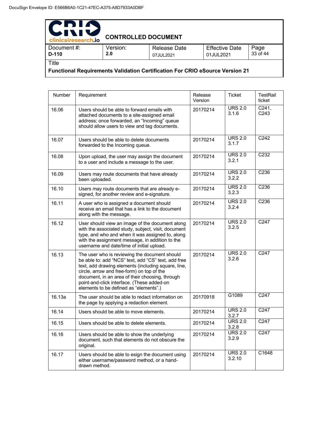| PDIA<br>IVI<br>$\blacktriangleright$<br>clinicalresearch.io | <b>CONTROLLED DOCUMENT</b> |                                  |                                    |                  |
|-------------------------------------------------------------|----------------------------|----------------------------------|------------------------------------|------------------|
| Document #:<br>$D-110$                                      | Version:<br>2.0            | <b>Release Date</b><br>07JUL2021 | <b>Effective Date</b><br>01JUL2021 | Page<br>33 of 44 |
| Title                                                       |                            |                                  |                                    |                  |

**Functional Requirements Validation Certification For CRIO eSource Version 21** 

| Number | Requirement                                                                                                                                                                                                                                                                                                                                          | Release<br>Version | <b>Ticket</b>            | TestRail<br>ticket                   |
|--------|------------------------------------------------------------------------------------------------------------------------------------------------------------------------------------------------------------------------------------------------------------------------------------------------------------------------------------------------------|--------------------|--------------------------|--------------------------------------|
| 16.06  | Users should be able to forward emails with<br>attached documents to a site-assigned email<br>address; once forwarded, an "Incoming" queue<br>should allow users to view and tag documents.                                                                                                                                                          | 20170214           | <b>URS 2.0</b><br>3.1.6  | C <sub>241</sub><br>C <sub>243</sub> |
| 16.07  | Users should be able to delete documents<br>forwarded to the Incoming queue.                                                                                                                                                                                                                                                                         | 20170214           | <b>URS 2.0</b><br>3.1.7  | C <sub>242</sub>                     |
| 16.08  | Upon upload, the user may assign the document<br>to a user and include a message to the user.                                                                                                                                                                                                                                                        | 20170214           | <b>URS 2.0</b><br>3.2.1  | C <sub>232</sub>                     |
| 16.09  | Users may route documents that have already<br>been uploaded.                                                                                                                                                                                                                                                                                        | 20170214           | <b>URS 2.0</b><br>3.2.2  | C <sub>236</sub>                     |
| 16.10  | Users may route documents that are already e-<br>signed, for another review and e-signature.                                                                                                                                                                                                                                                         | 20170214           | <b>URS 2.0</b><br>3.2.3  | C <sub>236</sub>                     |
| 16.11  | A user who is assigned a document should<br>receive an email that has a link to the document<br>along with the message.                                                                                                                                                                                                                              | 20170214           | <b>URS 2.0</b><br>3.2.4  | C <sub>236</sub>                     |
| 16.12  | User should view an image of the document along<br>with the associated study, subject, visit, document<br>type, and who and when it was assigned to, along<br>with the assignment message, in addition to the<br>username and date/time of initial upload.                                                                                           | 20170214           | <b>URS 2.0</b><br>3.2.5  | C247                                 |
| 16.13  | The user who is reviewing the document should<br>be able to: add "NCS" text, add "CS" text, add free<br>text, add drawing elements (including square, line,<br>circle, arrow and free-form) on top of the<br>document, in an area of their choosing, through<br>point-and-click interface. (These added-on<br>elements to be defined as "elements".) | 20170214           | <b>URS 2.0</b><br>3.2.6  | C247                                 |
| 16.13a | The user should be able to redact information on<br>the page by applying a redaction element.                                                                                                                                                                                                                                                        | 20170918           | G1089                    | C <sub>247</sub>                     |
| 16.14  | Users should be able to move elements.                                                                                                                                                                                                                                                                                                               | 20170214           | <b>URS 2.0</b><br>3.2.7  | C247                                 |
| 16.15  | Users should be able to delete elements.                                                                                                                                                                                                                                                                                                             | 20170214           | <b>URS 2.0</b><br>3.2.8  | C <sub>247</sub>                     |
| 16.16  | Users should be able to show the underlying<br>document, such that elements do not obscure the<br>original.                                                                                                                                                                                                                                          | 20170214           | <b>URS 2.0</b><br>3.2.9  | C <sub>247</sub>                     |
| 16.17  | Users should be able to esign the document using<br>either username/password method, or a hand-<br>drawn method.                                                                                                                                                                                                                                     | 20170214           | <b>URS 2.0</b><br>3.2.10 | C1648                                |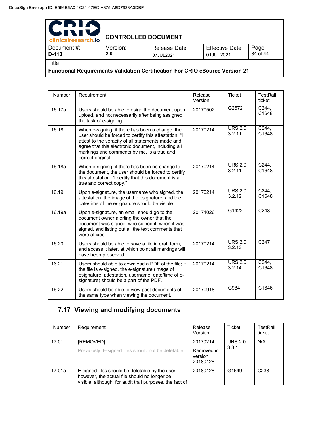| PDIA<br>WIN<br>clinicalresearch.io                                                  | <b>CONTROLLED DOCUMENT</b> |                                  |                                    |                  |
|-------------------------------------------------------------------------------------|----------------------------|----------------------------------|------------------------------------|------------------|
| Document #:<br>D-110                                                                | Version:<br>2.0            | <b>Release Date</b><br>07JUL2021 | <b>Effective Date</b><br>01JUL2021 | Page<br>34 of 44 |
| Title                                                                               |                            |                                  |                                    |                  |
| <b>Functional Requirements Validation Certification For CRIO eSource Version 21</b> |                            |                                  |                                    |                  |

Number Requirement Release Version Ticket | TestRail ticket 16.17a Users should be able to esign the document upon upload, and not necessarily after being assigned the task of e-signing. 20170502 G2672 C244, C1648 16.18 When e-signing, if there has been a change, the user should be forced to certify this attestation: "I attest to the veracity of all statements made and agree that this electronic document, including all markings and comments by me, is a true and correct original." 20170214 URS 2.0 3.2.11 C244, C1648 16.18a When e-signing, if there has been no change to the document, the user should be forced to certify this attestation: "I certify that this document is a true and correct copy." 20170214 URS 2.0 3.2.11 C244, C1648 16.19 Upon e-signature, the username who signed, the attestation, the image of the esignature, and the date/time of the esignature should be visible. 20170214 URS 2.0 3.2.12 C244, C1648 16.19a Upon e-signature, an email should go to the document owner alerting the owner that the document was signed, who signed it, when it was signed, and listing out all the text comments that were affixed. 20171026 G1422 C248 16.20 Users should be able to save a file in draft form, and access it later, at which point all markings will have been preserved. 20170214 URS 2.0 3.2.13 C247 16.21 Users should able to download a PDF of the file; if the file is e-signed, the e-signature (image of esignature, attestation, username, date/time of esignature) should be a part of the PDF. 20170214 URS 2.0 3.2.14 C244, C1648 16.22 Users should be able to view past documents of the same type when viewing the document. 20170918 G984 C1646

### **7.17 Viewing and modifying documents**

| <b>Number</b> | Requirement                                                                                                                                                 | Release<br>Version                | Ticket            | TestRail<br>ticket |
|---------------|-------------------------------------------------------------------------------------------------------------------------------------------------------------|-----------------------------------|-------------------|--------------------|
| 17.01         | <b>IREMOVEDI</b>                                                                                                                                            | 20170214                          | <b>URS 2.0</b>    | N/A                |
|               | Previously: E-signed files should not be deletable.                                                                                                         | Removed in<br>version<br>20180128 | 3.3.1             |                    |
| 17.01a        | E-signed files should be deletable by the user;<br>however, the actual file should no longer be<br>visible, although, for audit trail purposes, the fact of | 20180128                          | G <sub>1649</sub> | C <sub>238</sub>   |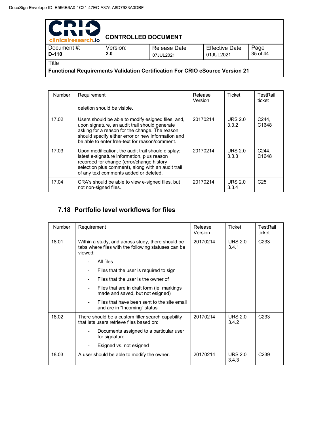| PDIA<br>INIS<br>clinicalresearch.io                                                 | <b>CONTROLLED DOCUMENT</b> |                           |                                    |                  |
|-------------------------------------------------------------------------------------|----------------------------|---------------------------|------------------------------------|------------------|
| Document #:<br>D-110                                                                | Version:<br>2.0            | Release Date<br>07JUL2021 | <b>Effective Date</b><br>01JUL2021 | Page<br>35 of 44 |
| Title                                                                               |                            |                           |                                    |                  |
| <b>Functional Requirements Validation Certification For CRIO eSource Version 21</b> |                            |                           |                                    |                  |

Number | Requirement | Release Version Ticket | TestRail ticket deletion should be visible. 17.02 | Users should be able to modify esigned files, and, upon signature, an audit trail should generate asking for a reason for the change. The reason should specify either error or new information and be able to enter free-text for reason/comment. 20170214 URS 2.0 3.3.2 C244, C1648 17.03 Upon modification, the audit trail should display: latest e-signature information, plus reason recorded for change (error/change history selection plus comment), along with an audit trail of any text comments added or deleted. 20170214 URS 2.0 3.3.3 C244, C1648 17.04 CRA's should be able to view e-signed files, but not non-signed files. 20170214 URS 2.0 3.3.4 C25

### **7.18 Portfolio level workflows for files**

| <b>Number</b> | Requirement                                                                                                         | Release<br>Version | <b>Ticket</b>           | TestRail<br>ticket |
|---------------|---------------------------------------------------------------------------------------------------------------------|--------------------|-------------------------|--------------------|
| 18.01         | Within a study, and across study, there should be<br>tabs where files with the following statuses can be<br>viewed: | 20170214           | <b>URS 2.0</b><br>3.4.1 | C <sub>233</sub>   |
|               | All files                                                                                                           |                    |                         |                    |
|               | Files that the user is required to sign                                                                             |                    |                         |                    |
|               | Files that the user is the owner of                                                                                 |                    |                         |                    |
|               | Files that are in draft form (ie, markings<br>۰<br>made and saved, but not esigned)                                 |                    |                         |                    |
|               | Files that have been sent to the site email<br>and are in "Incoming" status                                         |                    |                         |                    |
| 18.02         | There should be a custom filter search capability<br>that lets users retrieve files based on:                       | 20170214           | <b>URS 2.0</b><br>3.4.2 | C <sub>233</sub>   |
|               | Documents assigned to a particular user<br>for signature                                                            |                    |                         |                    |
|               | Esigned vs. not esigned                                                                                             |                    |                         |                    |
| 18.03         | A user should be able to modify the owner.                                                                          | 20170214           | <b>URS 2.0</b><br>3.4.3 | C <sub>239</sub>   |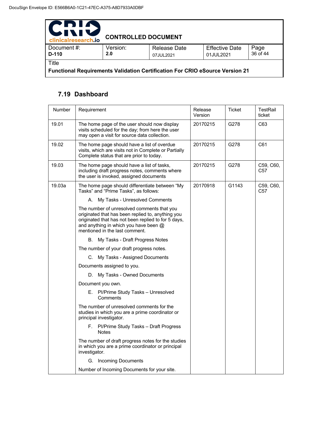| PDIA<br><b>UNI</b><br>clinicalresearch.io                                           | <b>CONTROLLED DOCUMENT</b> |                           |                                    |                  |  |
|-------------------------------------------------------------------------------------|----------------------------|---------------------------|------------------------------------|------------------|--|
| Document#:<br>D-110                                                                 | Version:<br>2.0            | Release Date<br>07JUL2021 | <b>Effective Date</b><br>01JUL2021 | Page<br>36 of 44 |  |
| Title                                                                               |                            |                           |                                    |                  |  |
| <b>Functional Requirements Validation Certification For CRIO eSource Version 21</b> |                            |                           |                                    |                  |  |

### **7.19 Dashboard**

| Number | Requirement                                                                                                                                                                                                                       | Release<br>Version | <b>Ticket</b> | TestRail<br>ticket           |
|--------|-----------------------------------------------------------------------------------------------------------------------------------------------------------------------------------------------------------------------------------|--------------------|---------------|------------------------------|
| 19.01  | The home page of the user should now display<br>visits scheduled for the day; from here the user<br>may open a visit for source data collection.                                                                                  | 20170215           | G278          | C63                          |
| 19.02  | The home page should have a list of overdue<br>visits, which are visits not in Complete or Partially<br>Complete status that are prior to today.                                                                                  | 20170215           | G278          | C61                          |
| 19.03  | The home page should have a list of tasks,<br>including draft progress notes, comments where<br>the user is invoked, assigned documents                                                                                           | 20170215           | G278          | C59, C60,<br>C <sub>57</sub> |
| 19.03a | The home page should differentiate between "My<br>Tasks" and "Prime Tasks", as follows:                                                                                                                                           | 20170918           | G1143         | C59, C60,<br>C <sub>57</sub> |
|        | А.<br>My Tasks - Unresolved Comments                                                                                                                                                                                              |                    |               |                              |
|        | The number of unresolved comments that you<br>originated that has been replied to, anything you<br>originated that has not been replied to for 5 days,<br>and anything in which you have been @<br>mentioned in the last comment. |                    |               |                              |
|        | В.<br>My Tasks - Draft Progress Notes                                                                                                                                                                                             |                    |               |                              |
|        | The number of your draft progress notes.                                                                                                                                                                                          |                    |               |                              |
|        | C. My Tasks - Assigned Documents                                                                                                                                                                                                  |                    |               |                              |
|        | Documents assigned to you.                                                                                                                                                                                                        |                    |               |                              |
|        | D. My Tasks - Owned Documents                                                                                                                                                                                                     |                    |               |                              |
|        | Document you own.                                                                                                                                                                                                                 |                    |               |                              |
|        | E. Pl/Prime Study Tasks - Unresolved<br>Comments                                                                                                                                                                                  |                    |               |                              |
|        | The number of unresolved comments for the<br>studies in which you are a prime coordinator or<br>principal investigator.                                                                                                           |                    |               |                              |
|        | F. Pl/Prime Study Tasks - Draft Progress<br><b>Notes</b>                                                                                                                                                                          |                    |               |                              |
|        | The number of draft progress notes for the studies<br>in which you are a prime coordinator or principal<br>investigator.                                                                                                          |                    |               |                              |
|        | <b>Incoming Documents</b><br>G.                                                                                                                                                                                                   |                    |               |                              |
|        | Number of Incoming Documents for your site.                                                                                                                                                                                       |                    |               |                              |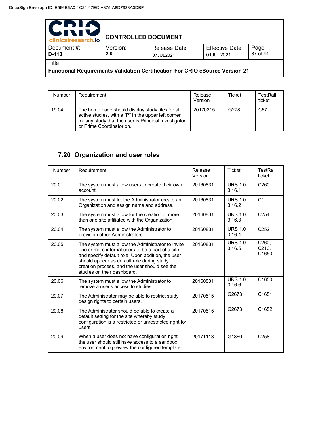| PDIA<br><b>UNIV</b><br>clinicalresearch.io                                   | <b>CONTROLLED DOCUMENT</b> |                           |                                    |                  |  |
|------------------------------------------------------------------------------|----------------------------|---------------------------|------------------------------------|------------------|--|
| Document#:<br>$D-110$                                                        | Version:<br>2.0            | Release Date<br>07JUL2021 | <b>Effective Date</b><br>01JUL2021 | Page<br>37 of 44 |  |
| Title                                                                        |                            |                           |                                    |                  |  |
| Functional Requirements Validation Certification For CRIO eSource Version 21 |                            |                           |                                    |                  |  |

| <b>Number</b> | Requirement                                                                                                                                                                                  | Release<br>Version | <b>Ticket</b> | TestRail<br>ticket |
|---------------|----------------------------------------------------------------------------------------------------------------------------------------------------------------------------------------------|--------------------|---------------|--------------------|
| 19.04         | The home page should display study tiles for all<br>active studies, with a "P" in the upper left corner<br>for any study that the user is Principal Investigator<br>or Prime Coordinator on. | 20170215           | G278          | C <sub>57</sub>    |

# **7.20 Organization and user roles**

| Number | Requirement                                                                                                                                                                                                                                                                               | Release<br>Version | <b>Ticket</b>            | <b>TestRail</b><br>ticket                                   |
|--------|-------------------------------------------------------------------------------------------------------------------------------------------------------------------------------------------------------------------------------------------------------------------------------------------|--------------------|--------------------------|-------------------------------------------------------------|
| 20.01  | The system must allow users to create their own<br>account.                                                                                                                                                                                                                               | 20160831           | <b>URS 1.0</b><br>3.16.1 | C <sub>260</sub>                                            |
| 20.02  | The system must let the Administrator create an<br>Organization and assign name and address.                                                                                                                                                                                              | 20160831           | <b>URS 1.0</b><br>3.16.2 | C <sub>1</sub>                                              |
| 20.03  | The system must allow for the creation of more<br>than one site affiliated with the Organization.                                                                                                                                                                                         | 20160831           | <b>URS 1.0</b><br>3.16.3 | C <sub>254</sub>                                            |
| 20.04  | The system must allow the Administrator to<br>provision other Administrators.                                                                                                                                                                                                             | 20160831           | <b>URS 1.0</b><br>3.16.4 | C <sub>252</sub>                                            |
| 20.05  | The system must allow the Administrator to invite<br>one or more internal users to be a part of a site<br>and specify default role. Upon addition, the user<br>should appear as default role during study<br>creation process, and the user should see the<br>studies on their dashboard. | 20160831           | URS $1.0$<br>3.16.5      | C <sub>260</sub> ,<br>C <sub>213</sub><br>C <sub>1650</sub> |
| 20.06  | The system must allow the Administrator to<br>remove a user's access to studies.                                                                                                                                                                                                          | 20160831           | <b>URS 1.0</b><br>3.16.6 | C <sub>1650</sub>                                           |
| 20.07  | The Administrator may be able to restrict study<br>design rights to certain users.                                                                                                                                                                                                        | 20170515           | G2673                    | C1651                                                       |
| 20.08  | The Administrator should be able to create a<br>default setting for the site whereby study<br>configuration is a restricted or unrestricted right for<br>users.                                                                                                                           | 20170515           | G2673                    | C1652                                                       |
| 20.09  | When a user does not have configuration right,<br>the user should still have access to a sandbox<br>environment to preview the configured template.                                                                                                                                       | 20171113           | G1860                    | C <sub>258</sub>                                            |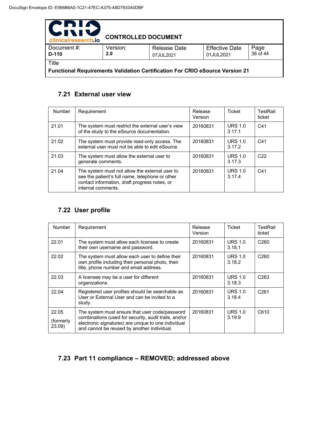| PDIA<br>511<br>clinicalresearch.io                                                  | <b>CONTROLLED DOCUMENT</b> |                                  |                                    |                  |  |
|-------------------------------------------------------------------------------------|----------------------------|----------------------------------|------------------------------------|------------------|--|
| Document#:<br>$D-110$                                                               | Version:<br>2.0            | <b>Release Date</b><br>07JUL2021 | <b>Effective Date</b><br>01JUL2021 | Page<br>38 of 44 |  |
| Title                                                                               |                            |                                  |                                    |                  |  |
| <b>Functional Requirements Validation Certification For CRIO eSource Version 21</b> |                            |                                  |                                    |                  |  |

### **7.21 External user view**

| Number | Requirement                                                                                                                                                              | Release<br>Version | <b>Ticket</b>            | TestRail<br>ticket |
|--------|--------------------------------------------------------------------------------------------------------------------------------------------------------------------------|--------------------|--------------------------|--------------------|
| 21.01  | The system must restrict the external user's view<br>of the study to the eSource documentation.                                                                          | 20160831           | <b>URS 1.0</b><br>3.17.1 | C <sub>41</sub>    |
| 21.02  | The system must provide read-only access. The<br>external user must not be able to edit eSource.                                                                         | 20160831           | <b>URS 1.0</b><br>3.17.2 | C41                |
| 21.03  | The system must allow the external user to<br>generate comments.                                                                                                         | 20160831           | <b>URS 1.0</b><br>3.17.3 | C <sub>22</sub>    |
| 21.04  | The system must not allow the external user to<br>see the patient's full name, telephone or other<br>contact information, draft progress notes, or<br>internal comments. | 20160831           | <b>URS 1.0</b><br>3.17.4 | C <sub>41</sub>    |

### **7.22 User profile**

| <b>Number</b>                | Requirement                                                                                                                                                                                                   | Release<br>Version | Ticket                   | TestRail<br>ticket |
|------------------------------|---------------------------------------------------------------------------------------------------------------------------------------------------------------------------------------------------------------|--------------------|--------------------------|--------------------|
| 22.01                        | The system must allow each licensee to create<br>their own username and password.                                                                                                                             | 20160831           | <b>URS 1.0</b><br>3.18.1 | C <sub>260</sub>   |
| 22.02                        | The system must allow each user to define their<br>own profile including their personal photo, their<br>title, phone number and email address.                                                                | 20160831           | <b>URS 1.0</b><br>3.18.2 | C <sub>260</sub>   |
| 22.03                        | A licensee may be a user for different<br>organizations.                                                                                                                                                      | 20160831           | <b>URS 1.0</b><br>3.18.3 | C <sub>263</sub>   |
| 22.04                        | Registered user profiles should be searchable as<br>User or External User and can be invited to a<br>study.                                                                                                   | 20160831           | <b>URS 1.0</b><br>3.18.4 | C <sub>261</sub>   |
| 22.05<br>(formerly)<br>23.09 | The system must ensure that user code/password<br>combinations (used for security, audit trails, and/or<br>electronic signatures) are unique to one individual<br>and cannot be reused by another individual. | 20160831           | <b>URS 1.0</b><br>3.19.9 | C610               |

# **7.23 Part 11 compliance – REMOVED; addressed above**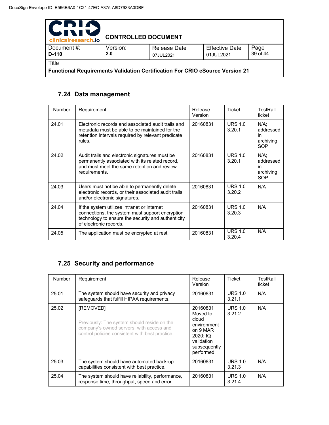| PDIA<br>WIN<br>clinicalresearch.io                                                  | <b>CONTROLLED DOCUMENT</b> |                                  |                                    |                  |  |
|-------------------------------------------------------------------------------------|----------------------------|----------------------------------|------------------------------------|------------------|--|
| Document#:<br>$D-110$                                                               | Version:<br>2.0            | <b>Release Date</b><br>07JUL2021 | <b>Effective Date</b><br>01JUL2021 | Page<br>39 of 44 |  |
| Title                                                                               |                            |                                  |                                    |                  |  |
| <b>Functional Requirements Validation Certification For CRIO eSource Version 21</b> |                            |                                  |                                    |                  |  |

### **7.24 Data management**

| <b>Number</b> | Requirement                                                                                                                                                                    | Release<br>Version | <b>Ticket</b>            | TestRail<br>ticket                                    |
|---------------|--------------------------------------------------------------------------------------------------------------------------------------------------------------------------------|--------------------|--------------------------|-------------------------------------------------------|
| 24.01         | Electronic records and associated audit trails and<br>metadata must be able to be maintained for the<br>retention intervals required by relevant predicate<br>rules.           | 20160831           | <b>URS 1.0</b><br>3.20.1 | $N/A$ :<br>addressed<br>in<br>archiving<br><b>SOP</b> |
| 24.02         | Audit trails and electronic signatures must be<br>permanently associated with its related record,<br>and must meet the same retention and review<br>requirements.              | 20160831           | <b>URS 1.0</b><br>3.20.1 | $N/A$ :<br>addressed<br>in<br>archiving<br><b>SOP</b> |
| 24.03         | Users must not be able to permanently delete<br>electronic records, or their associated audit trails<br>and/or electronic signatures.                                          | 20160831           | <b>URS 1.0</b><br>3.20.2 | N/A                                                   |
| 24.04         | If the system utilizes intranet or internet<br>connections, the system must support encryption<br>technology to ensure the security and authenticity<br>of electronic records. | 20160831           | <b>URS 1.0</b><br>3.20.3 | N/A                                                   |
| 24.05         | The application must be encrypted at rest.                                                                                                                                     | 20160831           | <b>URS 1.0</b><br>3.20.4 | N/A                                                   |

### **7.25 Security and performance**

| <b>Number</b> | Requirement                                                                                                                                             | Release<br>Version                                                                                              | Ticket                   | TestRail<br>ticket |
|---------------|---------------------------------------------------------------------------------------------------------------------------------------------------------|-----------------------------------------------------------------------------------------------------------------|--------------------------|--------------------|
| 25.01         | The system should have security and privacy<br>safeguards that fulfill HIPAA requirements.                                                              | 20160831                                                                                                        | <b>URS 1.0</b><br>3.21.1 | N/A                |
| 25.02         | [REMOVED]<br>Previously: The system should reside on the<br>company's owned servers, with access and<br>control policies consistent with best practice. | 20160831<br>Moved to<br>cloud<br>environment<br>on 9 MAR<br>2020: IQ<br>validation<br>subsequently<br>performed | <b>URS 1.0</b><br>3.21.2 | N/A                |
| 25.03         | The system should have automated back-up<br>capabilities consistent with best practice.                                                                 | 20160831                                                                                                        | <b>URS 1.0</b><br>3.21.3 | N/A                |
| 25.04         | The system should have reliability, performance,<br>response time, throughput, speed and error                                                          | 20160831                                                                                                        | <b>URS 1.0</b><br>3.21.4 | N/A                |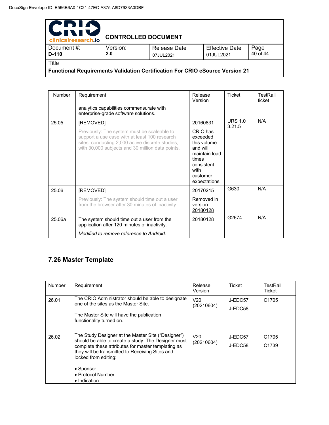| PDIN<br>WIN<br>clinicalresearch.io                                                  | <b>CONTROLLED DOCUMENT</b> |                                  |                                    |                  |  |
|-------------------------------------------------------------------------------------|----------------------------|----------------------------------|------------------------------------|------------------|--|
| Document #:<br>D-110                                                                | Version:<br>2.0            | <b>Release Date</b><br>07JUL2021 | <b>Effective Date</b><br>01JUL2021 | Page<br>40 of 44 |  |
| Title                                                                               |                            |                                  |                                    |                  |  |
| <b>Functional Requirements Validation Certification For CRIO eSource Version 21</b> |                            |                                  |                                    |                  |  |

| <b>Number</b> | Requirement                                                                                                                                                                                          | Release<br>Version                                                                                                          | <b>Ticket</b>            | TestRail<br>ticket |
|---------------|------------------------------------------------------------------------------------------------------------------------------------------------------------------------------------------------------|-----------------------------------------------------------------------------------------------------------------------------|--------------------------|--------------------|
|               | analytics capabilities commensurate with<br>enterprise-grade software solutions.                                                                                                                     |                                                                                                                             |                          |                    |
| 25.05         | [REMOVED]                                                                                                                                                                                            | 20160831                                                                                                                    | <b>URS 1.0</b><br>3.21.5 | N/A                |
|               | Previously: The system must be scaleable to<br>support a use case with at least 100 research<br>sites, conducting 2,000 active discrete studies,<br>with 30,000 subjects and 30 million data points. | CRIO has<br>exceeded<br>this volume<br>and will<br>maintain load<br>times<br>consistent<br>with<br>customer<br>expectations |                          |                    |
| 25.06         | [REMOVED]                                                                                                                                                                                            | 20170215                                                                                                                    | G630                     | N/A                |
|               | Previously: The system should time out a user<br>from the browser after 30 minutes of inactivity.                                                                                                    | Removed in<br>version<br>20180128                                                                                           |                          |                    |
| 25.06a        | The system should time out a user from the<br>application after 120 minutes of inactivity.                                                                                                           | 20180128                                                                                                                    | G2674                    | N/A                |
|               | Modified to remove reference to Android.                                                                                                                                                             |                                                                                                                             |                          |                    |

# **7.26 Master Template**

| Number | Requirement                                                                                                                                                                                                                                                                                  | Release<br>Version            | <b>Ticket</b>      | TestRail<br>Ticket                     |
|--------|----------------------------------------------------------------------------------------------------------------------------------------------------------------------------------------------------------------------------------------------------------------------------------------------|-------------------------------|--------------------|----------------------------------------|
| 26.01  | The CRIO Administrator should be able to designate<br>one of the sites as the Master Site.<br>The Master Site will have the publication<br>functionality turned on.                                                                                                                          | V <sub>20</sub><br>(20210604) | J-EDC57<br>J-EDC58 | C <sub>1705</sub>                      |
| 26.02  | The Study Designer at the Master Site ("Designer")<br>should be able to create a study. The Designer must<br>complete these attributes for master templating as<br>they will be transmitted to Receiving Sites and<br>locked from editing:<br>• Sponsor<br>• Protocol Number<br>• Indication | V <sub>20</sub><br>(20210604) | J-EDC57<br>J-EDC58 | C <sub>1705</sub><br>C <sub>1739</sub> |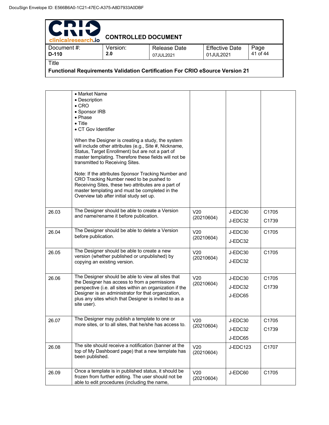| PDIA<br>WITH<br>clinicalresearch.io                                                          | <b>CONTROLLED DOCUMENT</b> |                           |                                    |                  |
|----------------------------------------------------------------------------------------------|----------------------------|---------------------------|------------------------------------|------------------|
| Document #:<br>D-110                                                                         | Version:<br>2.0            | Release Date<br>07JUL2021 | <b>Effective Date</b><br>01JUL2021 | Page<br>41 of 44 |
| Title<br><b>Functional Requirements Validation Certification For CRIO eSource Version 21</b> |                            |                           |                                    |                  |

|       | • Market Name<br>• Description<br>$\bullet$ CRO<br>• Sponsor IRB<br>• Phase<br>$\bullet$ Title<br>• CT Gov Identifier<br>When the Designer is creating a study, the system<br>will include other attributes (e.g., Site #, Nickname,<br>Status, Target Enrollment) but are not a part of<br>master templating. Therefore these fields will not be<br>transmitted to Receiving Sites.<br>Note: If the attributes Sponsor Tracking Number and<br>CRO Tracking Number need to be pushed to<br>Receiving Sites, these two attributes are a part of<br>master templating and must be completed in the<br>Overview tab after initial study set up. |                               |                               |                |
|-------|----------------------------------------------------------------------------------------------------------------------------------------------------------------------------------------------------------------------------------------------------------------------------------------------------------------------------------------------------------------------------------------------------------------------------------------------------------------------------------------------------------------------------------------------------------------------------------------------------------------------------------------------|-------------------------------|-------------------------------|----------------|
| 26.03 | The Designer should be able to create a Version<br>and name/rename it before publication.                                                                                                                                                                                                                                                                                                                                                                                                                                                                                                                                                    | V <sub>20</sub><br>(20210604) | J-EDC30<br>J-EDC32            | C1705<br>C1739 |
| 26.04 | The Designer should be able to delete a Version<br>before publication.                                                                                                                                                                                                                                                                                                                                                                                                                                                                                                                                                                       | V <sub>20</sub><br>(20210604) | J-EDC30<br>J-EDC32            | C1705          |
| 26.05 | The Designer should be able to create a new<br>version (whether published or unpublished) by<br>copying an existing version.                                                                                                                                                                                                                                                                                                                                                                                                                                                                                                                 | V <sub>20</sub><br>(20210604) | J-EDC30<br>J-EDC32            | C1705          |
| 26.06 | The Designer should be able to view all sites that<br>the Designer has access to from a permissions<br>perspective (i.e. all sites within an organization if the<br>Designer is an administrator for that organization,<br>plus any sites which that Designer is invited to as a<br>site user).                                                                                                                                                                                                                                                                                                                                              | V <sub>20</sub><br>(20210604) | J-EDC30<br>J-EDC32<br>J-EDC65 | C1705<br>C1739 |
| 26.07 | The Designer may publish a template to one or<br>more sites, or to all sites, that he/she has access to.                                                                                                                                                                                                                                                                                                                                                                                                                                                                                                                                     | V20<br>(20210604)             | J-EDC30<br>J-EDC32<br>J-EDC65 | C1705<br>C1739 |
| 26.08 | The site should receive a notification (banner at the<br>top of My Dashboard page) that a new template has<br>been published.                                                                                                                                                                                                                                                                                                                                                                                                                                                                                                                | V20<br>(20210604)             | J-EDC123                      | C1707          |
| 26.09 | Once a template is in published status, it should be<br>frozen from further editing. The user should not be<br>able to edit procedures (including the name,                                                                                                                                                                                                                                                                                                                                                                                                                                                                                  | V <sub>20</sub><br>(20210604) | J-EDC60                       | C1705          |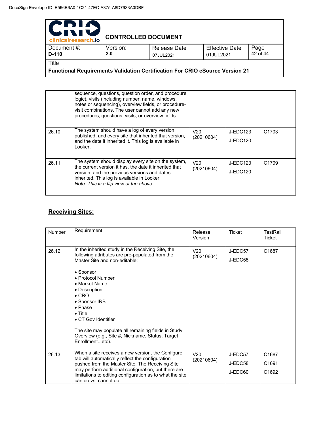| 2 D L<br><b>TV</b><br>clinicalresearch.io | <b>CONTROLLED DOCUMENT</b> |                                                        |                                    |                  |
|-------------------------------------------|----------------------------|--------------------------------------------------------|------------------------------------|------------------|
| Document #:<br>D-110                      | Version:<br>2.0            | Release Date<br>07JUL2021                              | <b>Effective Date</b><br>01JUL2021 | Page<br>42 of 44 |
| Title                                     |                            | $\mathbf{u}$ is the state of the state of $\mathbf{u}$ |                                    |                  |

**Functional Requirements Validation Certification For CRIO eSource Version 21** 

|       | sequence, questions, question order, and procedure<br>logic), visits (including number, name, windows,<br>notes or sequencing), overview fields, or procedure-<br>visit combinations. The user cannot add any new<br>procedures, questions, visits, or overview fields. |                   |                      |                   |
|-------|-------------------------------------------------------------------------------------------------------------------------------------------------------------------------------------------------------------------------------------------------------------------------|-------------------|----------------------|-------------------|
| 26.10 | The system should have a log of every version<br>published, and every site that inherited that version,<br>and the date it inherited it. This log is available in<br>Looker.                                                                                            | V20<br>(20210604) | J-EDC123<br>J-EDC120 | C <sub>1703</sub> |
| 26.11 | The system should display every site on the system,<br>the current version it has, the date it inherited that<br>version, and the previous versions and dates<br>inherited. This log is available in Looker.<br>Note: This is a flip view of the above.                 | V20<br>(20210604) | J-EDC123<br>J-EDC120 | C <sub>1709</sub> |

### **Receiving Sites:**

| Number | Requirement                                                                                                                                                                                                                                                                                                                                                                                                                    | Release<br>Version            | Ticket                        | TestRail<br>Ticket                              |
|--------|--------------------------------------------------------------------------------------------------------------------------------------------------------------------------------------------------------------------------------------------------------------------------------------------------------------------------------------------------------------------------------------------------------------------------------|-------------------------------|-------------------------------|-------------------------------------------------|
| 26.12  | In the inherited study in the Receiving Site, the<br>following attributes are pre-populated from the<br>Master Site and non-editable:<br>• Sponsor<br>• Protocol Number<br>• Market Name<br>• Description<br>$\bullet$ CRO<br>• Sponsor IRB<br>• Phase<br>$\bullet$ Title<br>• CT Gov Identifier<br>The site may populate all remaining fields in Study<br>Overview (e.g., Site #, Nickname, Status, Target<br>Enrollmentetc). | V20<br>(20210604)             | J-EDC57<br>J-EDC58            | C1687                                           |
| 26.13  | When a site receives a new version, the Configure<br>tab will automatically reflect the configuration<br>pushed from the Master Site. The Receiving Site<br>may perform additional configuration, but there are<br>limitations to editing configuration as to what the site<br>can do vs. cannot do.                                                                                                                           | V <sub>20</sub><br>(20210604) | J-EDC57<br>J-EDC58<br>J-EDC60 | C1687<br>C <sub>1691</sub><br>C <sub>1692</sub> |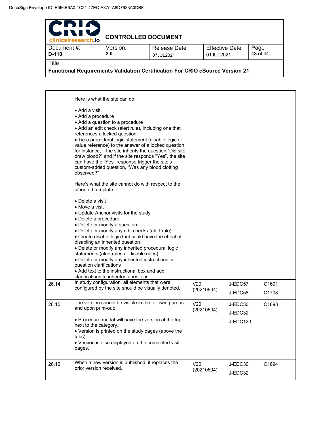| PDIA<br>511<br>clinicalresearch.io                                                           | <b>CONTROLLED DOCUMENT</b> |                                  |                                    |                  |
|----------------------------------------------------------------------------------------------|----------------------------|----------------------------------|------------------------------------|------------------|
| Document #:<br>$D-110$                                                                       | Version:<br>2.0            | <b>Release Date</b><br>07JUL2021 | <b>Effective Date</b><br>01JUL2021 | Page<br>43 of 44 |
| Title<br><b>Functional Requirements Validation Certification For CRIO eSource Version 21</b> |                            |                                  |                                    |                  |

|       | Here is what the site can do:<br>$\bullet$ Add a visit.<br>• Add a procedure<br>• Add a question to a procedure<br>• Add an edit check (alert rule), including one that<br>references a locked question<br>· Tie a procedural logic statement (disable logic or<br>value reference) to the answer of a locked question;<br>for instance, if the site inherits the question "Did site<br>draw blood?" and if the site responds "Yes", the site                                                                                                                                                                                                                               |                               |                                |                |
|-------|-----------------------------------------------------------------------------------------------------------------------------------------------------------------------------------------------------------------------------------------------------------------------------------------------------------------------------------------------------------------------------------------------------------------------------------------------------------------------------------------------------------------------------------------------------------------------------------------------------------------------------------------------------------------------------|-------------------------------|--------------------------------|----------------|
|       | can have the "Yes" response trigger the site's<br>custom-added question, "Was any blood clotting<br>observed?"                                                                                                                                                                                                                                                                                                                                                                                                                                                                                                                                                              |                               |                                |                |
|       | Here's what the site cannot do with respect to the<br>inherited template:                                                                                                                                                                                                                                                                                                                                                                                                                                                                                                                                                                                                   |                               |                                |                |
| 26.14 | • Delete a visit<br>$\bullet$ Move a visit<br>• Update Anchor visits for the study<br>• Delete a procedure<br>· Delete or modify a question<br>• Delete or modify any edit checks (alert rule)<br>• Create disable logic that could have the effect of<br>disabling an inherited question<br>• Delete or modify any inherited procedural logic<br>statements (alert rules or disable rules).<br>• Delete or modify any inherited instructions or<br>question clarifications<br>• Add text to the instructional box and add<br>clarifications to inherited questions<br>In study configuration, all elements that were<br>configured by the site should be visually denoted. | V <sub>20</sub><br>(20210604) | J-EDC57<br>J-EDC58             | C1691<br>C1708 |
| 26.15 | The version should be visible in the following areas<br>and upon print-out:<br>• Procedure modal will have the version at the top<br>next to the category.<br>• Version is printed on the study pages (above the<br>tabs).<br>• Version is also displayed on the completed visit<br>pages.                                                                                                                                                                                                                                                                                                                                                                                  | V20<br>(20210604)             | J-EDC30<br>J-EDC32<br>J-EDC120 | C1693          |
| 26.16 | When a new version is published, it replaces the<br>prior version received.                                                                                                                                                                                                                                                                                                                                                                                                                                                                                                                                                                                                 | V20<br>(20210604)             | J-EDC30<br>J-EDC32             | C1694          |